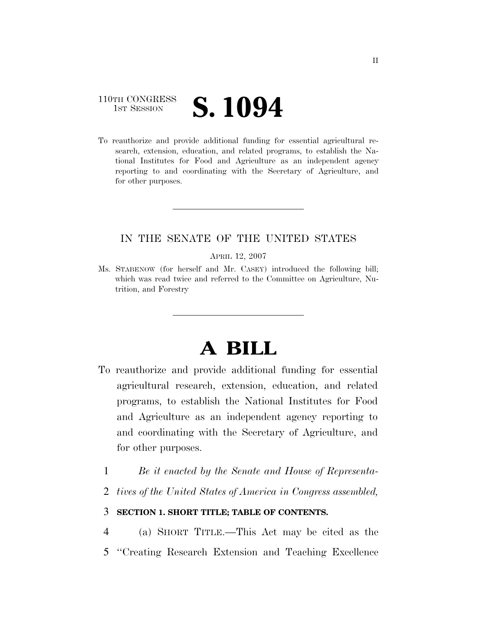## 110TH CONGRESS **1ST SESSION S. 1094**

To reauthorize and provide additional funding for essential agricultural research, extension, education, and related programs, to establish the National Institutes for Food and Agriculture as an independent agency reporting to and coordinating with the Secretary of Agriculture, and for other purposes.

## IN THE SENATE OF THE UNITED STATES

APRIL 12, 2007

Ms. STABENOW (for herself and Mr. CASEY) introduced the following bill; which was read twice and referred to the Committee on Agriculture, Nutrition, and Forestry

# **A BILL**

- To reauthorize and provide additional funding for essential agricultural research, extension, education, and related programs, to establish the National Institutes for Food and Agriculture as an independent agency reporting to and coordinating with the Secretary of Agriculture, and for other purposes.
	- 1 *Be it enacted by the Senate and House of Representa-*
	- 2 *tives of the United States of America in Congress assembled,*

## 3 **SECTION 1. SHORT TITLE; TABLE OF CONTENTS.**

4 (a) SHORT TITLE.—This Act may be cited as the 5 ''Creating Research Extension and Teaching Excellence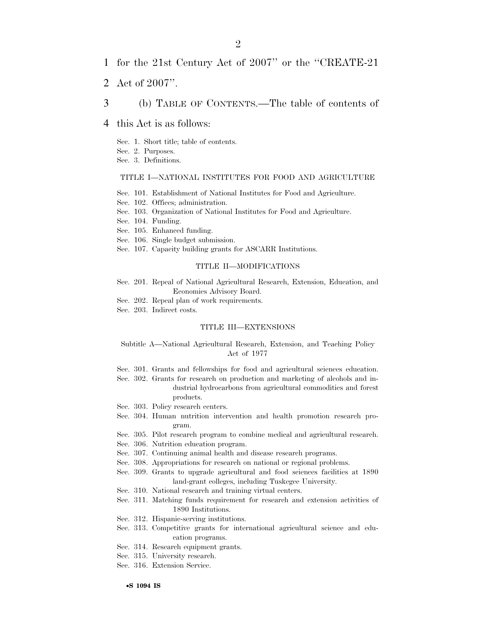- 1 for the 21st Century Act of 2007'' or the ''CREATE-21
- 2 Act of 2007''.
- 3 (b) TABLE OF CONTENTS.—The table of contents of
- 4 this Act is as follows:
	- Sec. 1. Short title; table of contents.
	- Sec. 2. Purposes.
	- Sec. 3. Definitions.

#### TITLE I—NATIONAL INSTITUTES FOR FOOD AND AGRICULTURE

- Sec. 101. Establishment of National Institutes for Food and Agriculture.
- Sec. 102. Offices; administration.
- Sec. 103. Organization of National Institutes for Food and Agriculture.
- Sec. 104. Funding.
- Sec. 105. Enhanced funding.
- Sec. 106. Single budget submission.
- Sec. 107. Capacity building grants for ASCARR Institutions.

### TITLE II—MODIFICATIONS

- Sec. 201. Repeal of National Agricultural Research, Extension, Education, and Economics Advisory Board.
- Sec. 202. Repeal plan of work requirements.
- Sec. 203. Indirect costs.

#### TITLE III—EXTENSIONS

#### Subtitle A—National Agricultural Research, Extension, and Teaching Policy Act of 1977

- Sec. 301. Grants and fellowships for food and agricultural sciences education.
- Sec. 302. Grants for research on production and marketing of alcohols and industrial hydrocarbons from agricultural commodities and forest products.
- Sec. 303. Policy research centers.
- Sec. 304. Human nutrition intervention and health promotion research program.
- Sec. 305. Pilot research program to combine medical and agricultural research.
- Sec. 306. Nutrition education program.
- Sec. 307. Continuing animal health and disease research programs.
- Sec. 308. Appropriations for research on national or regional problems.
- Sec. 309. Grants to upgrade agricultural and food sciences facilities at 1890 land-grant colleges, including Tuskegee University.
- Sec. 310. National research and training virtual centers.
- Sec. 311. Matching funds requirement for research and extension activities of 1890 Institutions.
- Sec. 312. Hispanic-serving institutions.
- Sec. 313. Competitive grants for international agricultural science and education programs.
- Sec. 314. Research equipment grants.
- Sec. 315. University research.
- Sec. 316. Extension Service.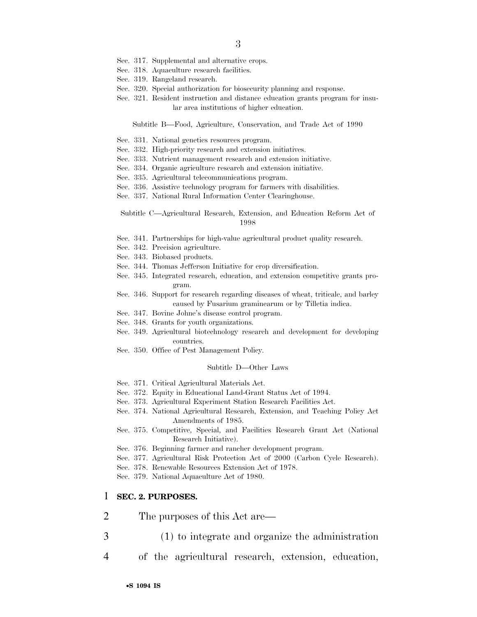- Sec. 317. Supplemental and alternative crops.
- Sec. 318. Aquaculture research facilities.
- Sec. 319. Rangeland research.
- Sec. 320. Special authorization for biosecurity planning and response.
- Sec. 321. Resident instruction and distance education grants program for insular area institutions of higher education.

Subtitle B—Food, Agriculture, Conservation, and Trade Act of 1990

- Sec. 331. National genetics resources program.
- Sec. 332. High-priority research and extension initiatives.
- Sec. 333. Nutrient management research and extension initiative.
- Sec. 334. Organic agriculture research and extension initiative.
- Sec. 335. Agricultural telecommunications program.
- Sec. 336. Assistive technology program for farmers with disabilities.
- Sec. 337. National Rural Information Center Clearinghouse.
- Subtitle C—Agricultural Research, Extension, and Education Reform Act of 1998
- Sec. 341. Partnerships for high-value agricultural product quality research.
- Sec. 342. Precision agriculture.
- Sec. 343. Biobased products.
- Sec. 344. Thomas Jefferson Initiative for crop diversification.
- Sec. 345. Integrated research, education, and extension competitive grants program.
- Sec. 346. Support for research regarding diseases of wheat, triticale, and barley caused by Fusarium graminearum or by Tilletia indica.
- Sec. 347. Bovine Johne's disease control program.
- Sec. 348. Grants for youth organizations.
- Sec. 349. Agricultural biotechnology research and development for developing countries.
- Sec. 350. Office of Pest Management Policy.

#### Subtitle D—Other Laws

- Sec. 371. Critical Agricultural Materials Act.
- Sec. 372. Equity in Educational Land-Grant Status Act of 1994.
- Sec. 373. Agricultural Experiment Station Research Facilities Act.
- Sec. 374. National Agricultural Research, Extension, and Teaching Policy Act Amendments of 1985.
- Sec. 375. Competitive, Special, and Facilities Research Grant Act (National Research Initiative).
- Sec. 376. Beginning farmer and rancher development program.
- Sec. 377. Agricultural Risk Protection Act of 2000 (Carbon Cycle Research).
- Sec. 378. Renewable Resources Extension Act of 1978.

Sec. 379. National Aquaculture Act of 1980.

#### 1 **SEC. 2. PURPOSES.**

- 2 The purposes of this Act are—
- 3 (1) to integrate and organize the administration
- 4 of the agricultural research, extension, education,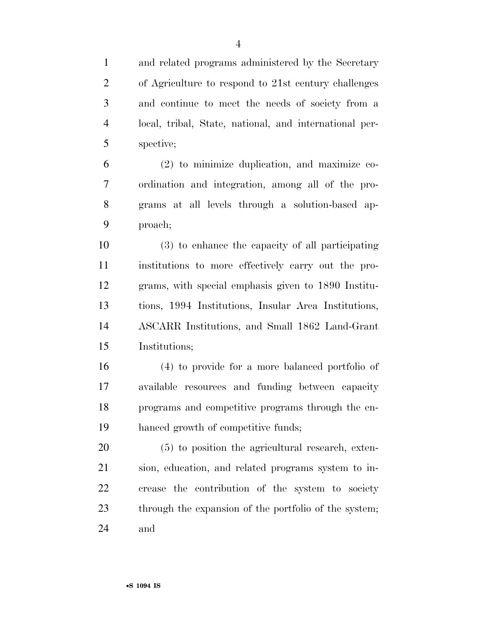and related programs administered by the Secretary of Agriculture to respond to 21st century challenges and continue to meet the needs of society from a local, tribal, State, national, and international per-spective;

 (2) to minimize duplication, and maximize co- ordination and integration, among all of the pro- grams at all levels through a solution-based ap-proach;

 (3) to enhance the capacity of all participating institutions to more effectively carry out the pro- grams, with special emphasis given to 1890 Institu- tions, 1994 Institutions, Insular Area Institutions, ASCARR Institutions, and Small 1862 Land-Grant Institutions;

 (4) to provide for a more balanced portfolio of available resources and funding between capacity programs and competitive programs through the en-hanced growth of competitive funds;

 (5) to position the agricultural research, exten- sion, education, and related programs system to in- crease the contribution of the system to society 23 through the expansion of the portfolio of the system; and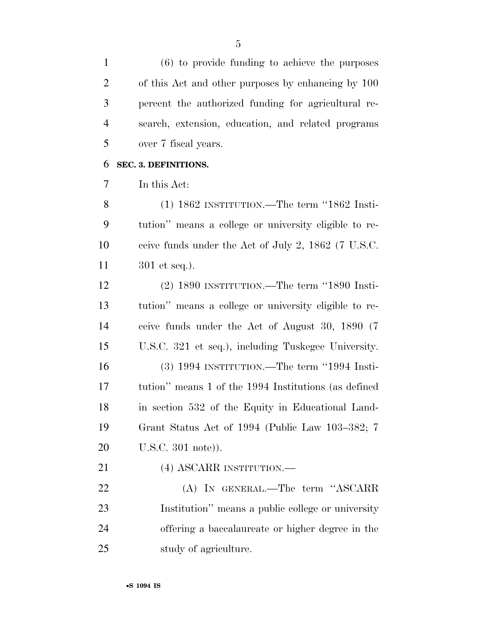(6) to provide funding to achieve the purposes of this Act and other purposes by enhancing by 100 percent the authorized funding for agricultural re- search, extension, education, and related programs over 7 fiscal years.

## **SEC. 3. DEFINITIONS.**

In this Act:

 (1) 1862 INSTITUTION.—The term ''1862 Insti- tution'' means a college or university eligible to re- ceive funds under the Act of July 2, 1862 (7 U.S.C. 301 et seq.).

 (2) 1890 INSTITUTION.—The term ''1890 Insti- tution'' means a college or university eligible to re- ceive funds under the Act of August 30, 1890 (7 U.S.C. 321 et seq.), including Tuskegee University. (3) 1994 INSTITUTION.—The term ''1994 Insti- tution'' means 1 of the 1994 Institutions (as defined in section 532 of the Equity in Educational Land- Grant Status Act of 1994 (Public Law 103–382; 7 U.S.C. 301 note)).

(4) ASCARR INSTITUTION.—

 (A) IN GENERAL.—The term ''ASCARR Institution'' means a public college or university offering a baccalaureate or higher degree in the study of agriculture.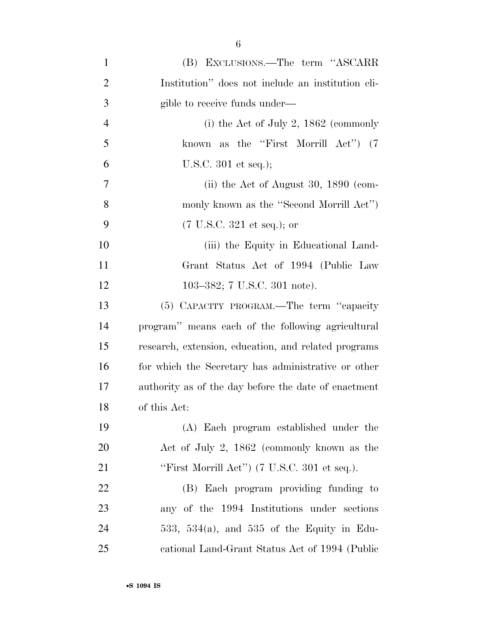| $\mathbf{1}$   | (B) EXCLUSIONS.—The term "ASCARR                                |
|----------------|-----------------------------------------------------------------|
| $\overline{2}$ | Institution" does not include an institution eli-               |
| 3              | gible to receive funds under—                                   |
| $\overline{4}$ | (i) the Act of July 2, $1862$ (commonly                         |
| 5              | known as the "First Morrill Act") (7                            |
| 6              | U.S.C. $301$ et seq.);                                          |
| 7              | (ii) the Act of August 30, $1890$ (com-                         |
| 8              | monly known as the "Second Morrill Act")                        |
| 9              | $(7 \text{ U.S.C. } 321 \text{ et seq.});$ or                   |
| 10             | (iii) the Equity in Educational Land-                           |
| 11             | Grant Status Act of 1994 (Public Law                            |
| 12             | 103-382; 7 U.S.C. 301 note).                                    |
| 13             | (5) CAPACITY PROGRAM.—The term "capacity                        |
| 14             | program" means each of the following agricultural               |
| 15             | research, extension, education, and related programs            |
| 16             | for which the Secretary has administrative or other             |
| 17             | authority as of the day before the date of enactment            |
| 18             | of this Act:                                                    |
| 19             | (A) Each program established under the                          |
| <b>20</b>      | Act of July 2, 1862 (commonly known as the                      |
| 21             | "First Morrill Act") $(7 \text{ U.S.C. } 301 \text{ et seq.}).$ |
| 22             | (B) Each program providing funding to                           |
| 23             | any of the 1994 Institutions under sections                     |
| 24             | 533, 534(a), and 535 of the Equity in Edu-                      |
| 25             | cational Land-Grant Status Act of 1994 (Public                  |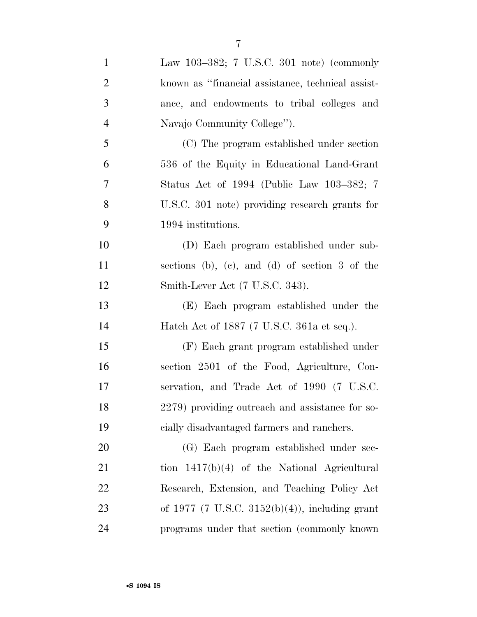| $\mathbf{1}$   | Law 103-382; 7 U.S.C. 301 note) (commonly         |
|----------------|---------------------------------------------------|
| $\overline{2}$ | known as "financial assistance, technical assist- |
| 3              | ance, and endowments to tribal colleges and       |
| $\overline{4}$ | Navajo Community College").                       |
| 5              | (C) The program established under section         |
| 6              | 536 of the Equity in Educational Land-Grant       |
| 7              | Status Act of 1994 (Public Law 103–382; 7         |
| 8              | U.S.C. 301 note) providing research grants for    |
| 9              | 1994 institutions.                                |
| 10             | (D) Each program established under sub-           |
| 11             | sections (b), (c), and (d) of section 3 of the    |
| 12             | Smith-Lever Act (7 U.S.C. 343).                   |
| 13             | (E) Each program established under the            |
| 14             | Hatch Act of 1887 (7 U.S.C. 361a et seq.).        |
| 15             | (F) Each grant program established under          |
| 16             | section 2501 of the Food, Agriculture, Con-       |
| 17             | servation, and Trade Act of 1990 (7 U.S.C.        |
| 18             | 2279) providing outreach and assistance for so-   |
| 19             | cially disadvantaged farmers and ranchers.        |
| 20             | (G) Each program established under sec-           |
| 21             | tion $1417(b)(4)$ of the National Agricultural    |
| 22             | Research, Extension, and Teaching Policy Act      |
| 23             | of 1977 (7 U.S.C. 3152(b)(4)), including grant    |
| 24             | programs under that section (commonly known       |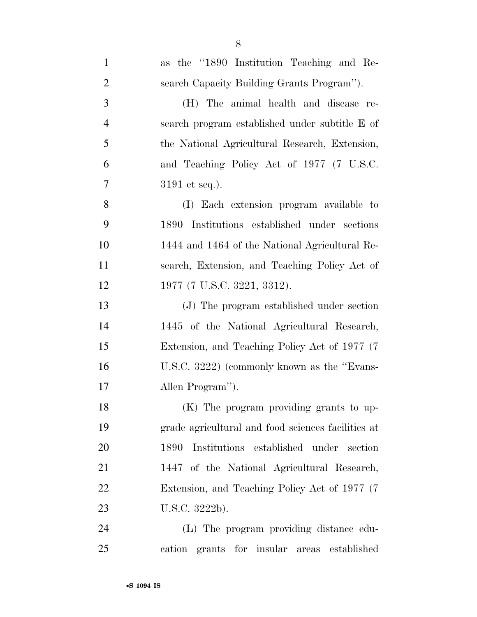| $\mathbf{1}$   | as the "1890 Institution Teaching and Re-          |
|----------------|----------------------------------------------------|
| $\overline{2}$ | search Capacity Building Grants Program").         |
| 3              | (H) The animal health and disease re-              |
| $\overline{4}$ | search program established under subtitle E of     |
| 5              | the National Agricultural Research, Extension,     |
| 6              | and Teaching Policy Act of 1977 (7 U.S.C.          |
| $\overline{7}$ | $3191$ et seq.).                                   |
| 8              | (I) Each extension program available to            |
| 9              | 1890 Institutions established under sections       |
| 10             | 1444 and 1464 of the National Agricultural Re-     |
| 11             | search, Extension, and Teaching Policy Act of      |
| 12             | 1977 (7 U.S.C. 3221, 3312).                        |
| 13             | (J) The program established under section          |
| 14             | 1445 of the National Agricultural Research,        |
| 15             | Extension, and Teaching Policy Act of 1977 (7)     |
| 16             | U.S.C. 3222) (commonly known as the "Evans-        |
| 17             | Allen Program").                                   |
| 18             | (K) The program providing grants to up-            |
| 19             | grade agricultural and food sciences facilities at |
| 20             | Institutions established under<br>1890<br>section  |
| 21             | 1447 of the National Agricultural Research,        |
| 22             | Extension, and Teaching Policy Act of 1977 (7)     |
| 23             | U.S.C. 3222b).                                     |
| 24             | (L) The program providing distance edu-            |
| 25             | cation grants for insular areas<br>established     |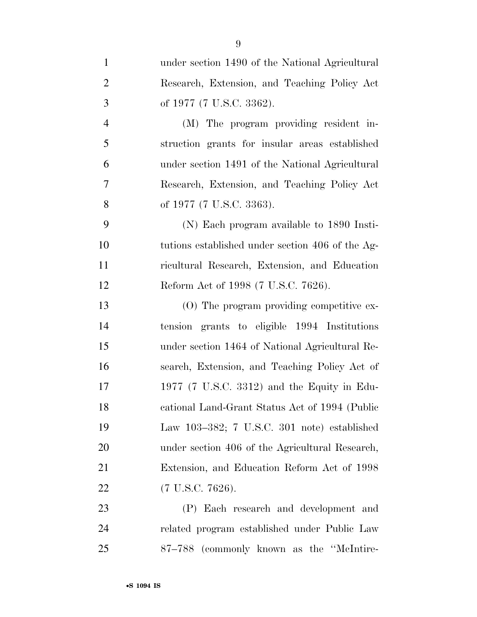| $\mathbf{1}$   | under section 1490 of the National Agricultural  |
|----------------|--------------------------------------------------|
| $\overline{2}$ | Research, Extension, and Teaching Policy Act     |
| 3              | of 1977 (7 U.S.C. 3362).                         |
| $\overline{4}$ | (M) The program providing resident in-           |
| 5              | struction grants for insular areas established   |
| 6              | under section 1491 of the National Agricultural  |
| $\overline{7}$ | Research, Extension, and Teaching Policy Act     |
| 8              | of 1977 (7 U.S.C. 3363).                         |
| 9              | (N) Each program available to 1890 Insti-        |
| 10             | tutions established under section 406 of the Ag- |
| 11             | ricultural Research, Extension, and Education    |
| 12             | Reform Act of 1998 (7 U.S.C. 7626).              |
| 13             | $(0)$ The program providing competitive ex-      |
| 14             | tension grants to eligible 1994 Institutions     |
| 15             | under section 1464 of National Agricultural Re-  |
| 16             | search, Extension, and Teaching Policy Act of    |
| 17             | 1977 (7 U.S.C. 3312) and the Equity in Edu-      |
| 18             | cational Land-Grant Status Act of 1994 (Public   |
| 19             | Law $103-382$ ; 7 U.S.C. 301 note) established   |
| 20             | under section 406 of the Agricultural Research,  |
| 21             | Extension, and Education Reform Act of 1998      |
| 22             | $(7 \text{ U.S.C. } 7626).$                      |
| 23             | (P) Each research and development and            |
| 24             | related program established under Public Law     |

87–788 (commonly known as the ''McIntire-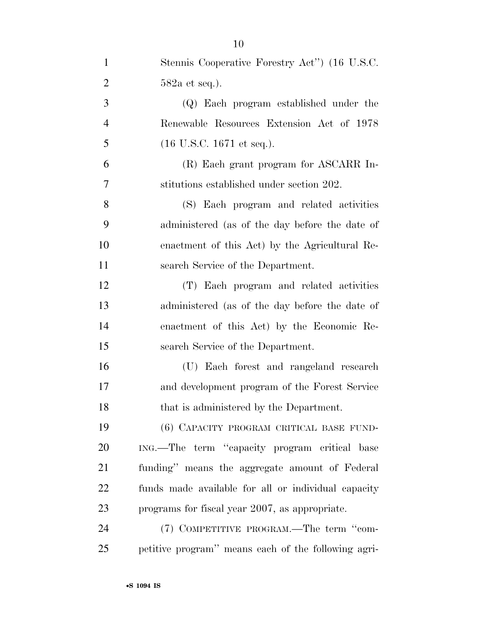| $\mathbf{1}$   | Stennis Cooperative Forestry Act" (16 U.S.C.        |
|----------------|-----------------------------------------------------|
| $\overline{2}$ | $582a$ et seq.).                                    |
| 3              | (Q) Each program established under the              |
| $\overline{4}$ | Renewable Resources Extension Act of 1978           |
| 5              | $(16 \text{ U.S.C. } 1671 \text{ et seq.}).$        |
| 6              | (R) Each grant program for ASCARR In-               |
| 7              | stitutions established under section 202.           |
| 8              | (S) Each program and related activities             |
| 9              | administered (as of the day before the date of      |
| 10             | enactment of this Act) by the Agricultural Re-      |
| 11             | search Service of the Department.                   |
| 12             | (T) Each program and related activities             |
| 13             | administered (as of the day before the date of      |
| 14             | enactment of this Act) by the Economic Re-          |
| 15             | search Service of the Department.                   |
| 16             | (U) Each forest and rangeland research              |
| 17             | and development program of the Forest Service       |
| 18             | that is administered by the Department.             |
| 19             | (6) CAPACITY PROGRAM CRITICAL BASE FUND-            |
| 20             | ING.—The term "capacity program critical base       |
| 21             | funding" means the aggregate amount of Federal      |
| 22             | funds made available for all or individual capacity |
| 23             | programs for fiscal year 2007, as appropriate.      |
| 24             | (7) COMPETITIVE PROGRAM.—The term "com-             |
| 25             | petitive program" means each of the following agri- |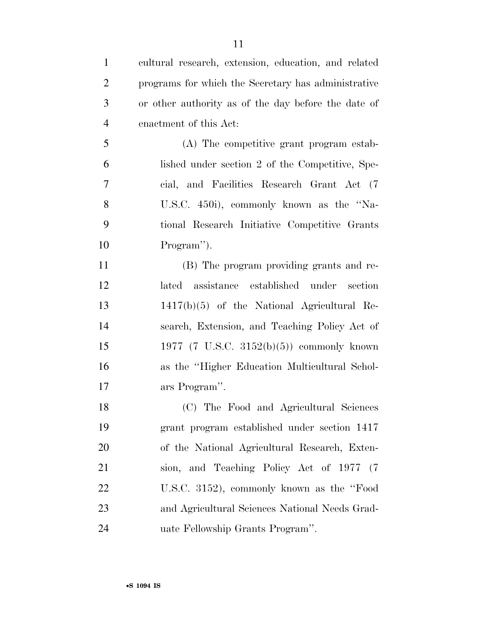| $\mathbf{1}$   | cultural research, extension, education, and related |
|----------------|------------------------------------------------------|
| $\overline{2}$ | programs for which the Secretary has administrative  |
| 3              | or other authority as of the day before the date of  |
| $\overline{4}$ | enactment of this Act:                               |
| 5              | (A) The competitive grant program estab-             |
| 6              | lished under section 2 of the Competitive, Spe-      |
| 7              | cial, and Facilities Research Grant Act (7)          |
| 8              | U.S.C. 450i), commonly known as the "Na-             |
| 9              | tional Research Initiative Competitive Grants        |
| 10             | Program").                                           |
| 11             | (B) The program providing grants and re-             |
| 12             | lated assistance established under section           |
| 13             | $1417(b)(5)$ of the National Agricultural Re-        |
| 14             | search, Extension, and Teaching Policy Act of        |
| 15             | 1977 (7 U.S.C. 3152(b)(5)) commonly known            |
| 16             | as the "Higher Education Multicultural Schol-        |
| 17             | ars Program".                                        |
| 18             | (C) The Food and Agricultural Sciences               |
| 19             | grant program established under section 1417         |
| 20             | of the National Agricultural Research, Exten-        |
| 21             | sion, and Teaching Policy Act of 1977 (7             |
| 22             | U.S.C. 3152), commonly known as the "Food            |
| 23             | and Agricultural Sciences National Needs Grad-       |
| 24             | uate Fellowship Grants Program".                     |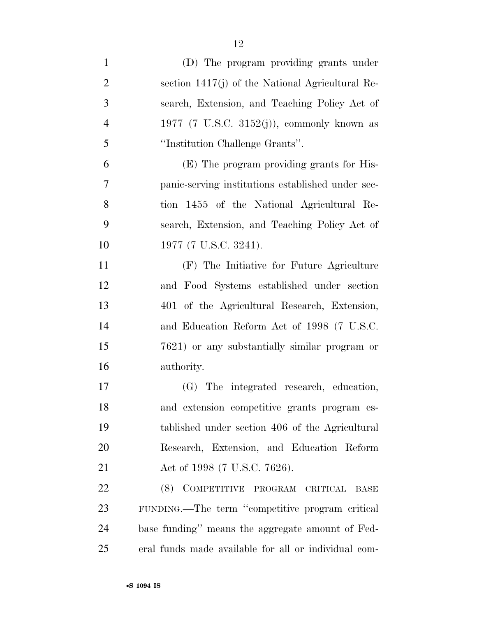| $\mathbf{1}$   | (D) The program providing grants under               |
|----------------|------------------------------------------------------|
| $\overline{2}$ | section $1417(j)$ of the National Agricultural Re-   |
| 3              | search, Extension, and Teaching Policy Act of        |
| $\overline{4}$ | 1977 (7 U.S.C. 3152 $(j)$ ), commonly known as       |
| 5              | "Institution Challenge Grants".                      |
| 6              | (E) The program providing grants for His-            |
| 7              | panic-serving institutions established under sec-    |
| 8              | tion 1455 of the National Agricultural Re-           |
| 9              | search, Extension, and Teaching Policy Act of        |
| 10             | 1977 (7 U.S.C. 3241).                                |
| 11             | (F) The Initiative for Future Agriculture            |
| 12             | and Food Systems established under section           |
| 13             | 401 of the Agricultural Research, Extension,         |
| 14             | and Education Reform Act of 1998 (7 U.S.C.           |
| 15             | 7621) or any substantially similar program or        |
| 16             | authority.                                           |
| 17             | (G) The integrated research, education,              |
| 18             | and extension competitive grants program es-         |
| 19             | tablished under section 406 of the Agricultural      |
| 20             | Research, Extension, and Education Reform            |
| 21             | Act of 1998 (7 U.S.C. 7626).                         |
| <u>22</u>      | (8) COMPETITIVE PROGRAM CRITICAL<br><b>BASE</b>      |
| 23             | FUNDING.—The term "competitive program critical      |
| 24             | base funding" means the aggregate amount of Fed-     |
| 25             | eral funds made available for all or individual com- |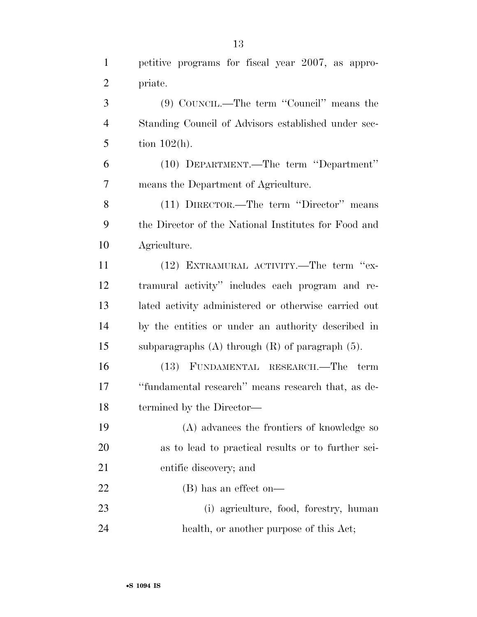petitive programs for fiscal year 2007, as appro- priate. (9) COUNCIL.—The term ''Council'' means the Standing Council of Advisors established under sec-5 tion  $102(h)$ . (10) DEPARTMENT.—The term ''Department'' means the Department of Agriculture. (11) DIRECTOR.—The term ''Director'' means the Director of the National Institutes for Food and Agriculture. (12) EXTRAMURAL ACTIVITY.—The term ''ex- tramural activity'' includes each program and re-lated activity administered or otherwise carried out

 by the entities or under an authority described in subparagraphs (A) through (R) of paragraph (5).

 (13) FUNDAMENTAL RESEARCH.—The term 17 ''fundamental research'' means research that, as de-termined by the Director—

 (A) advances the frontiers of knowledge so as to lead to practical results or to further sci- entific discovery; and (B) has an effect on—

 (i) agriculture, food, forestry, human health, or another purpose of this Act;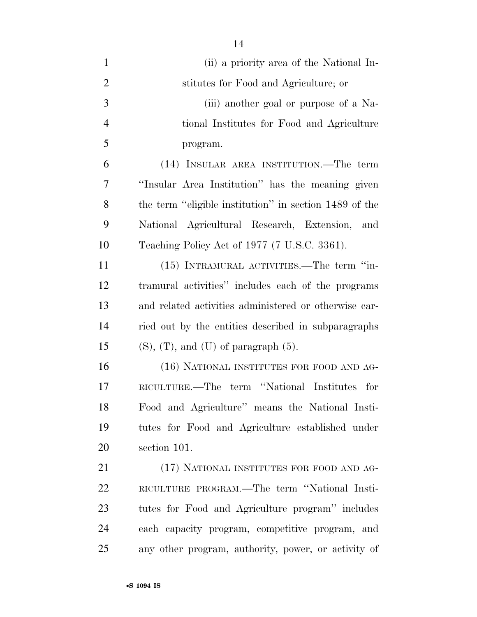(ii) a priority area of the National In- stitutes for Food and Agriculture; or (iii) another goal or purpose of a Na- tional Institutes for Food and Agriculture program. (14) INSULAR AREA INSTITUTION.—The term ''Insular Area Institution'' has the meaning given the term ''eligible institution'' in section 1489 of the National Agricultural Research, Extension, and Teaching Policy Act of 1977 (7 U.S.C. 3361). (15) INTRAMURAL ACTIVITIES.—The term ''in- tramural activities'' includes each of the programs and related activities administered or otherwise car- ried out by the entities described in subparagraphs 15 (S), (T), and (U) of paragraph  $(5)$ . (16) NATIONAL INSTITUTES FOR FOOD AND AG- RICULTURE.—The term ''National Institutes for Food and Agriculture'' means the National Insti- tutes for Food and Agriculture established under section 101. 21 (17) NATIONAL INSTITUTES FOR FOOD AND AG- RICULTURE PROGRAM.—The term ''National Insti- tutes for Food and Agriculture program'' includes each capacity program, competitive program, and

any other program, authority, power, or activity of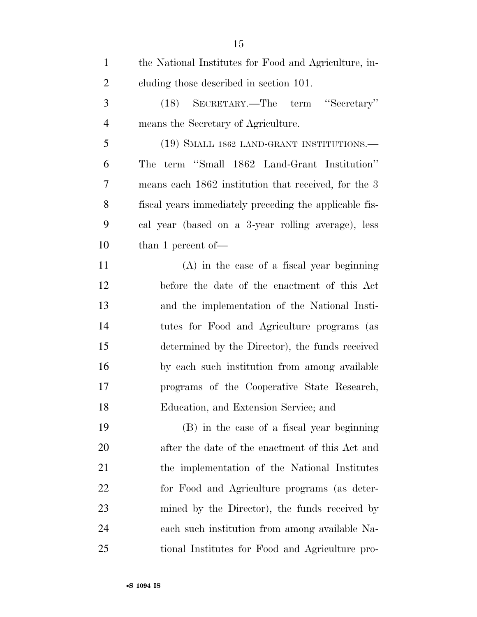| $\mathbf{1}$   | the National Institutes for Food and Agriculture, in-  |
|----------------|--------------------------------------------------------|
| $\overline{2}$ | cluding those described in section 101.                |
| 3              | (18) SECRETARY.—The term "Secretary"                   |
| $\overline{4}$ | means the Secretary of Agriculture.                    |
| 5              | (19) SMALL 1862 LAND-GRANT INSTITUTIONS.—              |
| 6              | term "Small 1862 Land-Grant Institution"<br>The        |
| 7              | means each 1862 institution that received, for the 3   |
| 8              | fiscal years immediately preceding the applicable fis- |
| 9              | cal year (based on a 3-year rolling average), less     |
| 10             | than 1 percent of $\equiv$                             |
| 11             | $(A)$ in the case of a fiscal year beginning           |
| 12             | before the date of the enactment of this Act           |
| 13             | and the implementation of the National Insti-          |
| 14             | tutes for Food and Agriculture programs (as            |
| 15             | determined by the Director), the funds received        |
| 16             | by each such institution from among available          |
| 17             | programs of the Cooperative State Research,            |
| 18             | Education, and Extension Service; and                  |
| 19             | (B) in the case of a fiscal year beginning             |
| 20             | after the date of the enactment of this Act and        |
| 21             | the implementation of the National Institutes          |
| 22             | for Food and Agriculture programs (as deter-           |
| 23             | mined by the Director), the funds received by          |
| 24             | each such institution from among available Na-         |
| 25             | tional Institutes for Food and Agriculture pro-        |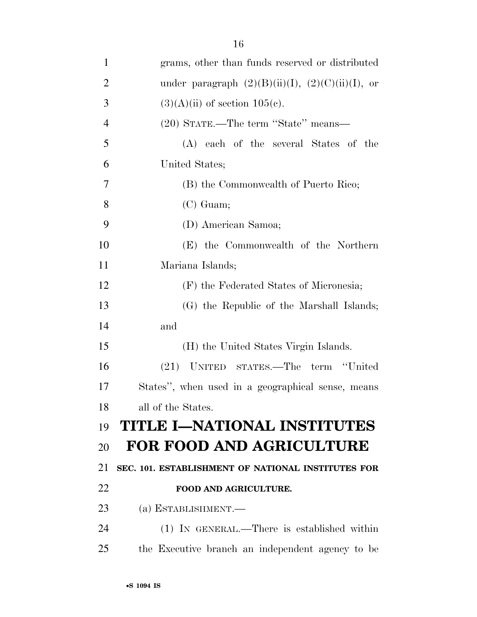| $\mathbf{1}$   | grams, other than funds reserved or distributed        |
|----------------|--------------------------------------------------------|
| $\overline{2}$ | under paragraph $(2)(B)(ii)(I)$ , $(2)(C)(ii)(I)$ , or |
| 3              | $(3)(A)(ii)$ of section $105(e)$ .                     |
| $\overline{4}$ | (20) STATE.—The term "State" means—                    |
| 5              | (A) each of the several States of the                  |
| 6              | United States;                                         |
| 7              | (B) the Commonwealth of Puerto Rico;                   |
| 8              | $(C)$ Guam;                                            |
| 9              | (D) American Samoa;                                    |
| 10             | (E) the Commonwealth of the Northern                   |
| 11             | Mariana Islands;                                       |
| 12             | (F) the Federated States of Micronesia;                |
| 13             | (G) the Republic of the Marshall Islands;              |
| 14             | and                                                    |
| 15             | (H) the United States Virgin Islands.                  |
| 16             | (21) UNITED STATES.—The term "United                   |
| 17             | States", when used in a geographical sense, means      |
| 18             | all of the States.                                     |
| 19             | TITLE I-NATIONAL INSTITUTES                            |
| 20             | <b>FOR FOOD AND AGRICULTURE</b>                        |
| 21             | SEC. 101. ESTABLISHMENT OF NATIONAL INSTITUTES FOR     |
| 22             | FOOD AND AGRICULTURE.                                  |
| 23             | (a) ESTABLISHMENT.—                                    |
| 24             | $(1)$ IN GENERAL.—There is established within          |
| 25             | the Executive branch an independent agency to be       |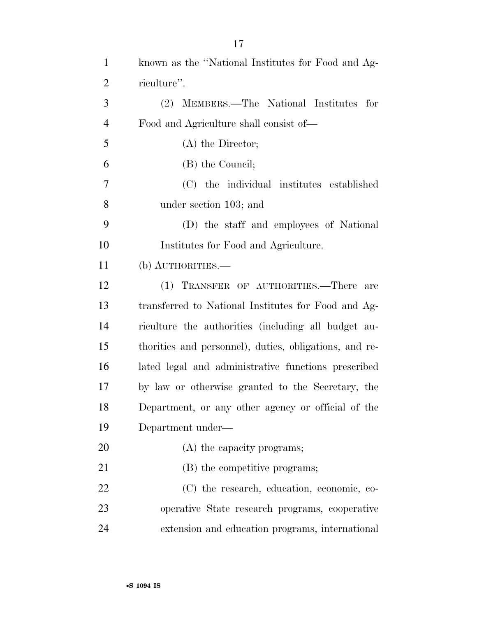| $\mathbf{1}$   | known as the "National Institutes for Food and Ag-     |
|----------------|--------------------------------------------------------|
| $\overline{2}$ | riculture".                                            |
| 3              | (2) MEMBERS.—The National Institutes for               |
| $\overline{4}$ | Food and Agriculture shall consist of—                 |
| 5              | $(A)$ the Director;                                    |
| 6              | (B) the Council;                                       |
| $\overline{7}$ | (C) the individual institutes established              |
| 8              | under section 103; and                                 |
| 9              | (D) the staff and employees of National                |
| 10             | Institutes for Food and Agriculture.                   |
| 11             | (b) AUTHORITIES.—                                      |
| 12             | (1) TRANSFER OF AUTHORITIES.—There<br>are              |
| 13             | transferred to National Institutes for Food and Ag-    |
| 14             | riculture the authorities (including all budget au-    |
| 15             | thorities and personnel), duties, obligations, and re- |
| 16             | lated legal and administrative functions prescribed    |
| 17             | by law or otherwise granted to the Secretary, the      |
| 18             | Department, or any other agency or official of the     |
| 19             | Department under-                                      |
| 20             | (A) the capacity programs;                             |
| 21             | (B) the competitive programs;                          |
| 22             | (C) the research, education, economic, co-             |
| 23             | operative State research programs, cooperative         |
| 24             | extension and education programs, international        |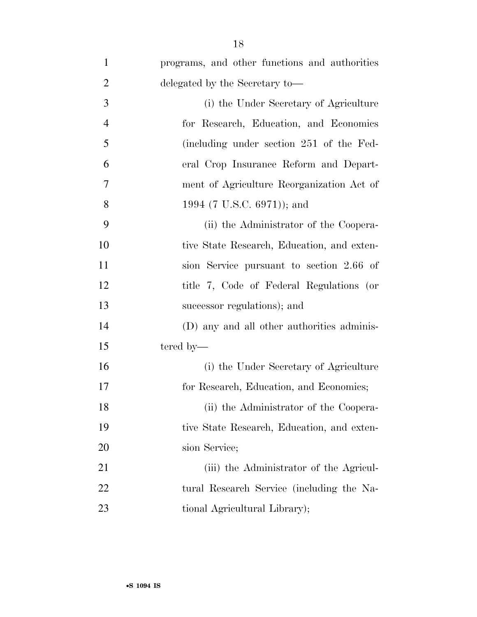| $\mathbf{1}$   | programs, and other functions and authorities |
|----------------|-----------------------------------------------|
| $\overline{2}$ | delegated by the Secretary to-                |
| 3              | (i) the Under Secretary of Agriculture        |
| $\overline{4}$ | for Research, Education, and Economics        |
| 5              | (including under section 251 of the Fed-      |
| 6              | eral Crop Insurance Reform and Depart-        |
| 7              | ment of Agriculture Reorganization Act of     |
| 8              | 1994 (7 U.S.C. 6971)); and                    |
| 9              | (ii) the Administrator of the Coopera-        |
| 10             | tive State Research, Education, and exten-    |
| 11             | sion Service pursuant to section 2.66 of      |
| 12             | title 7, Code of Federal Regulations (or      |
| 13             | successor regulations); and                   |
| 14             | (D) any and all other authorities adminis-    |
| 15             | tered by—                                     |
| 16             | (i) the Under Secretary of Agriculture        |
| 17             | for Research, Education, and Economics;       |
| 18             | (ii) the Administrator of the Coopera-        |
| 19             | tive State Research, Education, and exten-    |
| 20             | sion Service;                                 |
| 21             | (iii) the Administrator of the Agricul-       |
| 22             | tural Research Service (including the Na-     |
| 23             | tional Agricultural Library);                 |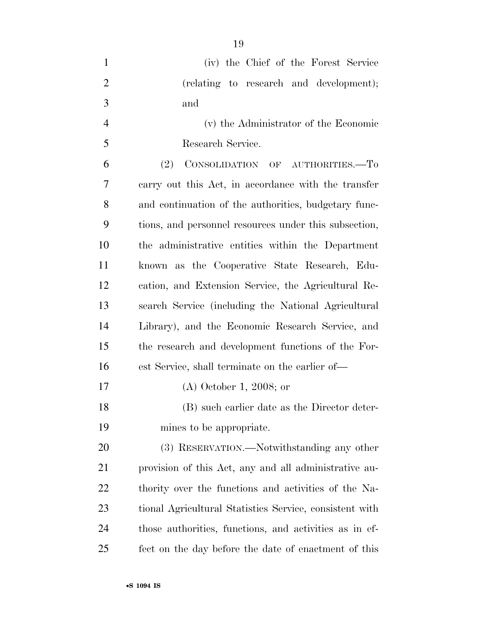| $\mathbf{1}$   | (iv) the Chief of the Forest Service                    |
|----------------|---------------------------------------------------------|
| $\overline{2}$ | (relating to research and development);                 |
| 3              | and                                                     |
| $\overline{4}$ | (v) the Administrator of the Economic                   |
| 5              | Research Service.                                       |
| 6              | (2)<br>CONSOLIDATION OF AUTHORITIES.-To                 |
| 7              | carry out this Act, in accordance with the transfer     |
| 8              | and continuation of the authorities, budgetary func-    |
| 9              | tions, and personnel resources under this subsection,   |
| 10             | the administrative entities within the Department       |
| 11             | known as the Cooperative State Research, Edu-           |
| 12             | cation, and Extension Service, the Agricultural Re-     |
| 13             | search Service (including the National Agricultural     |
| 14             | Library), and the Economic Research Service, and        |
| 15             | the research and development functions of the For-      |
| 16             | est Service, shall terminate on the earlier of—         |
| 17             | $(A)$ October 1, 2008; or                               |
| 18             | (B) such earlier date as the Director deter-            |
| 19             | mines to be appropriate.                                |
| 20             | (3) RESERVATION.—Notwithstanding any other              |
| 21             | provision of this Act, any and all administrative au-   |
| 22             | thority over the functions and activities of the Na-    |
| 23             | tional Agricultural Statistics Service, consistent with |
| 24             | those authorities, functions, and activities as in ef-  |
| 25             | fect on the day before the date of enactment of this    |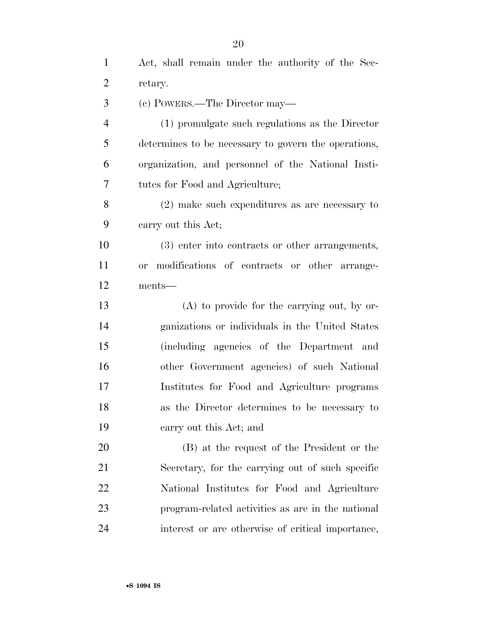Act, shall remain under the authority of the Sec-

| $\overline{2}$ | retary.                                                   |
|----------------|-----------------------------------------------------------|
| 3              | (c) POWERS.—The Director may—                             |
| $\overline{4}$ | (1) promulgate such regulations as the Director           |
| 5              | determines to be necessary to govern the operations,      |
| 6              | organization, and personnel of the National Insti-        |
| 7              | tutes for Food and Agriculture;                           |
| 8              | $(2)$ make such expenditures as are necessary to          |
| 9              | carry out this Act;                                       |
| 10             | (3) enter into contracts or other arrangements,           |
| 11             | modifications of contracts or other arrange-<br><b>or</b> |
| 12             | ments-                                                    |
| 13             | $(A)$ to provide for the carrying out, by or-             |
| 14             | ganizations or individuals in the United States           |
| 15             | (including agencies of the Department and                 |
| 16             | other Government agencies) of such National               |
| 17             | Institutes for Food and Agriculture programs              |
| 18             | as the Director determines to be necessary to             |
| 19             | carry out this Act; and                                   |
| 20             | (B) at the request of the President or the                |
| 21             | Secretary, for the carrying out of such specific          |
| 22             | National Institutes for Food and Agriculture              |
| 23             | program-related activities as are in the national         |
| 24             | interest or are otherwise of critical importance,         |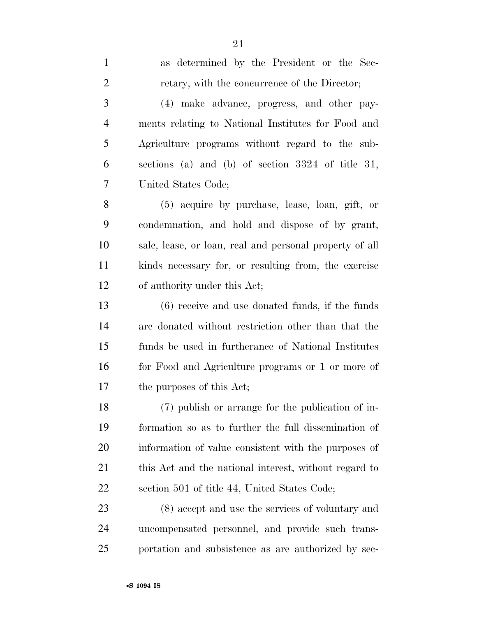as determined by the President or the Sec-

2 retary, with the concurrence of the Director; (4) make advance, progress, and other pay- ments relating to National Institutes for Food and Agriculture programs without regard to the sub- sections (a) and (b) of section 3324 of title 31, United States Code; (5) acquire by purchase, lease, loan, gift, or condemnation, and hold and dispose of by grant, sale, lease, or loan, real and personal property of all kinds necessary for, or resulting from, the exercise of authority under this Act; (6) receive and use donated funds, if the funds are donated without restriction other than that the funds be used in furtherance of National Institutes for Food and Agriculture programs or 1 or more of the purposes of this Act;

 (7) publish or arrange for the publication of in- formation so as to further the full dissemination of information of value consistent with the purposes of 21 this Act and the national interest, without regard to section 501 of title 44, United States Code;

 (8) accept and use the services of voluntary and uncompensated personnel, and provide such trans-portation and subsistence as are authorized by sec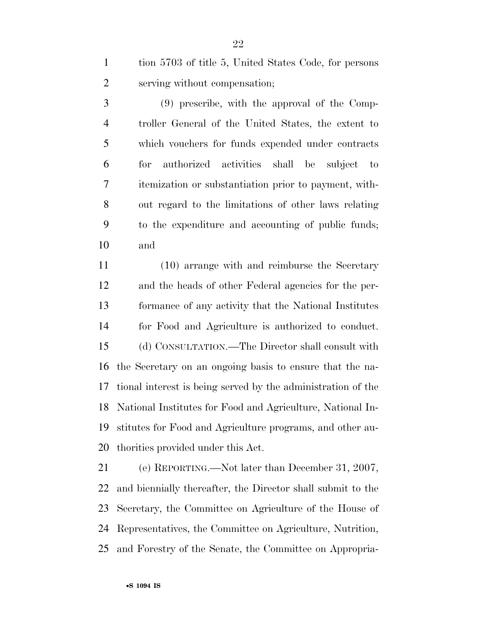tion 5703 of title 5, United States Code, for persons serving without compensation;

 (9) prescribe, with the approval of the Comp- troller General of the United States, the extent to which vouchers for funds expended under contracts for authorized activities shall be subject to itemization or substantiation prior to payment, with- out regard to the limitations of other laws relating to the expenditure and accounting of public funds; and

 (10) arrange with and reimburse the Secretary and the heads of other Federal agencies for the per- formance of any activity that the National Institutes for Food and Agriculture is authorized to conduct. (d) CONSULTATION.—The Director shall consult with the Secretary on an ongoing basis to ensure that the na- tional interest is being served by the administration of the National Institutes for Food and Agriculture, National In- stitutes for Food and Agriculture programs, and other au-thorities provided under this Act.

 (e) REPORTING.—Not later than December 31, 2007, and biennially thereafter, the Director shall submit to the Secretary, the Committee on Agriculture of the House of Representatives, the Committee on Agriculture, Nutrition, and Forestry of the Senate, the Committee on Appropria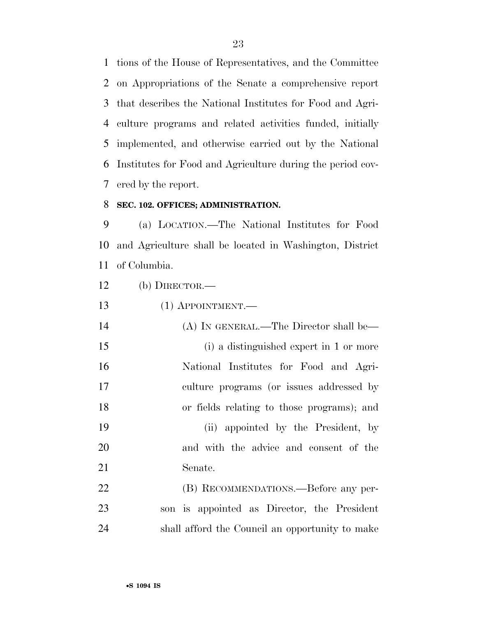tions of the House of Representatives, and the Committee on Appropriations of the Senate a comprehensive report that describes the National Institutes for Food and Agri- culture programs and related activities funded, initially implemented, and otherwise carried out by the National Institutes for Food and Agriculture during the period cov-ered by the report.

## **SEC. 102. OFFICES; ADMINISTRATION.**

 (a) LOCATION.—The National Institutes for Food and Agriculture shall be located in Washington, District of Columbia.

(b) DIRECTOR.—

| 13<br>$(1)$ APPOINTMENT.— |  |
|---------------------------|--|
|---------------------------|--|

| 14 | (A) IN GENERAL.—The Director shall be—     |
|----|--------------------------------------------|
| 15 | (i) a distinguished expert in 1 or more    |
| 16 | National Institutes for Food and Agri-     |
| 17 | culture programs (or issues addressed by   |
| 18 | or fields relating to those programs); and |
| 19 | (ii) appointed by the President, by        |
| 20 | and with the advice and consent of the     |
| 21 | Senate.                                    |
|    |                                            |

 (B) RECOMMENDATIONS.—Before any per- son is appointed as Director, the President shall afford the Council an opportunity to make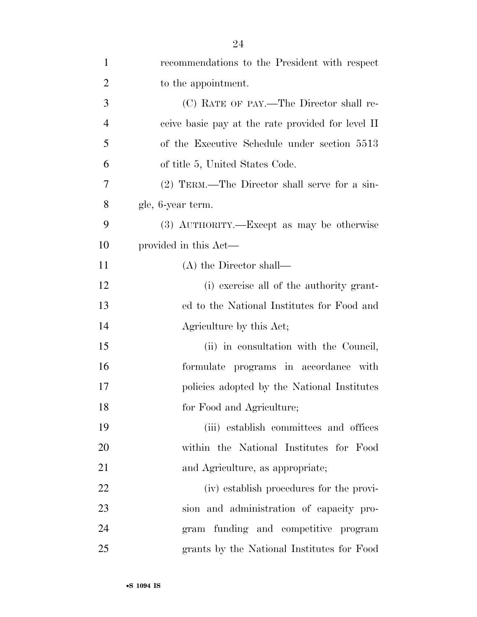| $\mathbf{1}$   | recommendations to the President with respect     |
|----------------|---------------------------------------------------|
| $\overline{2}$ | to the appointment.                               |
| 3              | (C) RATE OF PAY.—The Director shall re-           |
| $\overline{4}$ | ceive basic pay at the rate provided for level II |
| 5              | of the Executive Schedule under section 5513      |
| 6              | of title 5, United States Code.                   |
| 7              | (2) TERM.—The Director shall serve for a sin-     |
| 8              | gle, 6-year term.                                 |
| 9              | (3) AUTHORITY.—Except as may be otherwise         |
| 10             | provided in this Act—                             |
| 11             | $(A)$ the Director shall—                         |
| 12             | (i) exercise all of the authority grant-          |
| 13             | ed to the National Institutes for Food and        |
| 14             | Agriculture by this Act;                          |
| 15             | (ii) in consultation with the Council,            |
| 16             | formulate programs in accordance with             |
| 17             | policies adopted by the National Institutes       |
| 18             | for Food and Agriculture;                         |
| 19             | (iii) establish committees and offices            |
| 20             | within the National Institutes for Food           |
| 21             | and Agriculture, as appropriate;                  |
| 22             | (iv) establish procedures for the provi-          |
| 23             | sion and administration of capacity pro-          |
| 24             | gram funding and competitive program              |
| 25             | grants by the National Institutes for Food        |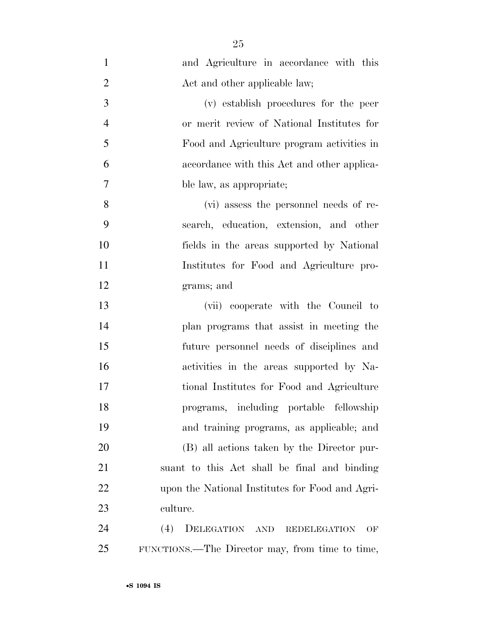| $\mathbf{1}$   | and Agriculture in accordance with this         |
|----------------|-------------------------------------------------|
| $\overline{2}$ | Act and other applicable law;                   |
| 3              | (v) establish procedures for the peer           |
| $\overline{4}$ | or merit review of National Institutes for      |
| 5              | Food and Agriculture program activities in      |
| 6              | accordance with this Act and other applica-     |
| $\tau$         | ble law, as appropriate;                        |
| 8              | (vi) assess the personnel needs of re-          |
| 9              | search, education, extension, and other         |
| 10             | fields in the areas supported by National       |
| 11             | Institutes for Food and Agriculture pro-        |
| 12             | grams; and                                      |
| 13             | (vii) cooperate with the Council to             |
| 14             | plan programs that assist in meeting the        |
| 15             | future personnel needs of disciplines and       |
| 16             | activities in the areas supported by Na-        |
| 17             | tional Institutes for Food and Agriculture      |
| 18             | programs, including portable fellowship         |
| 19             | and training programs, as applicable; and       |
| 20             | (B) all actions taken by the Director pur-      |
| 21             | suant to this Act shall be final and binding    |
| 22             | upon the National Institutes for Food and Agri- |
| 23             | culture.                                        |
| 24             | (4)<br>DELEGATION AND REDELEGATION<br>OF        |
| 25             | FUNCTIONS.—The Director may, from time to time, |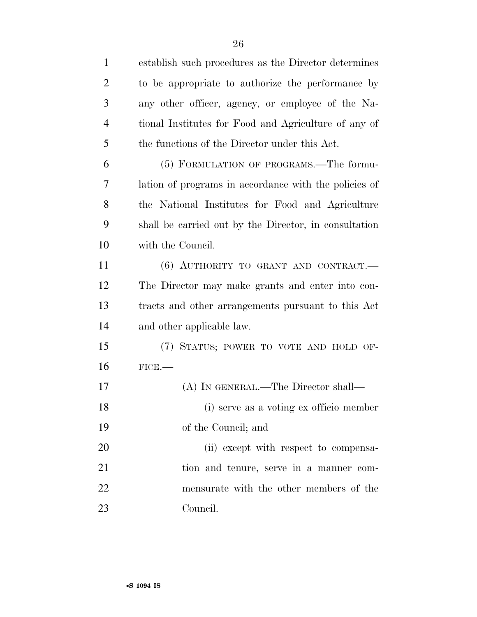| $\mathbf{1}$   | establish such procedures as the Director determines  |
|----------------|-------------------------------------------------------|
| $\overline{2}$ | to be appropriate to authorize the performance by     |
| 3              | any other officer, agency, or employee of the Na-     |
| $\overline{4}$ | tional Institutes for Food and Agriculture of any of  |
| 5              | the functions of the Director under this Act.         |
| 6              | (5) FORMULATION OF PROGRAMS.—The formu-               |
| 7              | lation of programs in accordance with the policies of |
| 8              | the National Institutes for Food and Agriculture      |
| 9              | shall be carried out by the Director, in consultation |
| 10             | with the Council.                                     |
| 11             | (6) AUTHORITY TO GRANT AND CONTRACT.                  |
| 12             | The Director may make grants and enter into con-      |
| 13             | tracts and other arrangements pursuant to this Act    |
| 14             | and other applicable law.                             |
| 15             | (7) STATUS; POWER TO VOTE AND HOLD OF-                |
| 16             | FICE.                                                 |
| 17             | (A) IN GENERAL.—The Director shall—                   |
| 18             | (i) serve as a voting ex officio member               |
| 19             | of the Council; and                                   |
| 20             | (ii) except with respect to compensa-                 |
| 21             | tion and tenure, serve in a manner com-               |
| 22             | mensurate with the other members of the               |
| 23             | Council.                                              |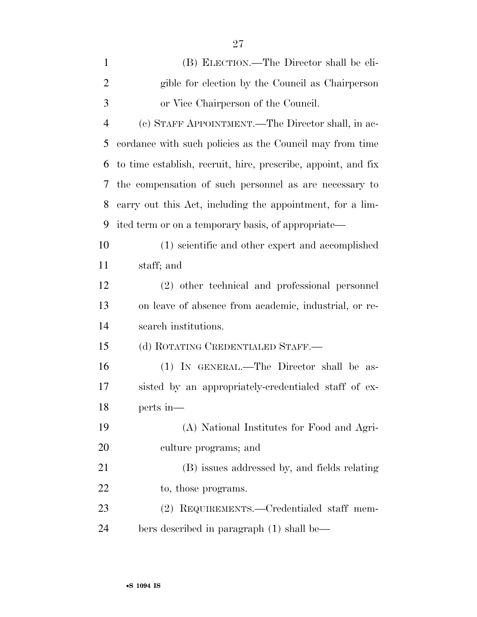| $\mathbf{1}$   | (B) ELECTION.—The Director shall be eli-                      |
|----------------|---------------------------------------------------------------|
| $\overline{2}$ | gible for election by the Council as Chairperson              |
| 3              | or Vice Chairperson of the Council.                           |
| $\overline{4}$ | (c) STAFF APPOINTMENT.—The Director shall, in ac-             |
| 5              | cordance with such policies as the Council may from time      |
| 6              | to time establish, recruit, hire, prescribe, appoint, and fix |
| 7              | the compensation of such personnel as are necessary to        |
| 8              | carry out this Act, including the appointment, for a lim-     |
| 9              | ited term or on a temporary basis, of appropriate—            |
| 10             | (1) scientific and other expert and accomplished              |
| 11             | staff; and                                                    |
| 12             | (2) other technical and professional personnel                |
| 13             | on leave of absence from academic, industrial, or re-         |
| 14             | search institutions.                                          |
| 15             | (d) ROTATING CREDENTIALED STAFF.—                             |
| 16             | (1) IN GENERAL.—The Director shall be as-                     |
| 17             | sisted by an appropriately-credentialed staff of ex-          |
| 18             | perts in-                                                     |
| 19             | (A) National Institutes for Food and Agri-                    |
| 20             | culture programs; and                                         |
| 21             | (B) issues addressed by, and fields relating                  |
| 22             | to, those programs.                                           |
| 23             | (2) REQUIREMENTS.—Credentialed staff mem-                     |
| 24             | bers described in paragraph (1) shall be—                     |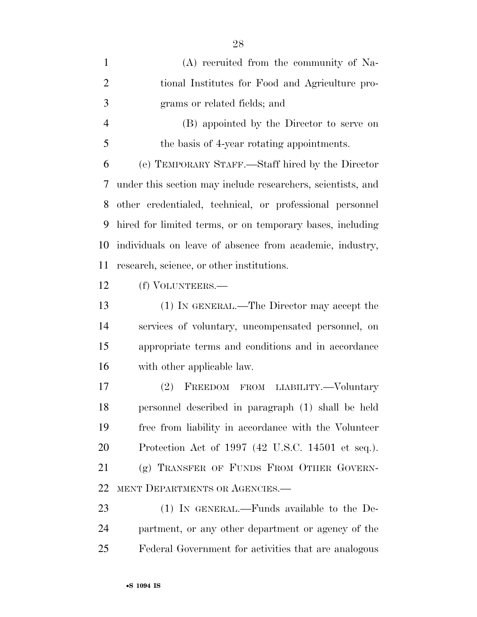| $\mathbf{1}$   | (A) recruited from the community of Na-                     |
|----------------|-------------------------------------------------------------|
| $\overline{2}$ | tional Institutes for Food and Agriculture pro-             |
| 3              | grams or related fields; and                                |
| $\overline{4}$ | (B) appointed by the Director to serve on                   |
| 5              | the basis of 4-year rotating appointments.                  |
| 6              | (e) TEMPORARY STAFF.—Staff hired by the Director            |
| 7              | under this section may include researchers, scientists, and |
| 8              | other credentialed, technical, or professional personnel    |
| 9              | hired for limited terms, or on temporary bases, including   |
| 10             | individuals on leave of absence from academic, industry,    |
| 11             | research, science, or other institutions.                   |
| 12             | (f) VOLUNTEERS.—                                            |
| 13             | (1) IN GENERAL.—The Director may accept the                 |
| 14             | services of voluntary, uncompensated personnel, on          |
| 15             | appropriate terms and conditions and in accordance          |
| 16             | with other applicable law.                                  |
| 17             | FREEDOM FROM LIABILITY.-Voluntary<br>(2)                    |
| 18             | personnel described in paragraph (1) shall be held          |
| 19             | free from liability in accordance with the Volunteer        |
| 20             | Protection Act of 1997 (42 U.S.C. 14501 et seq.).           |
| 21             | (g) TRANSFER OF FUNDS FROM OTHER GOVERN-                    |
| 22             | MENT DEPARTMENTS OR AGENCIES.-                              |
| 23             | (1) IN GENERAL.—Funds available to the De-                  |
| 24             | partment, or any other department or agency of the          |
| 25             | Federal Government for activities that are analogous        |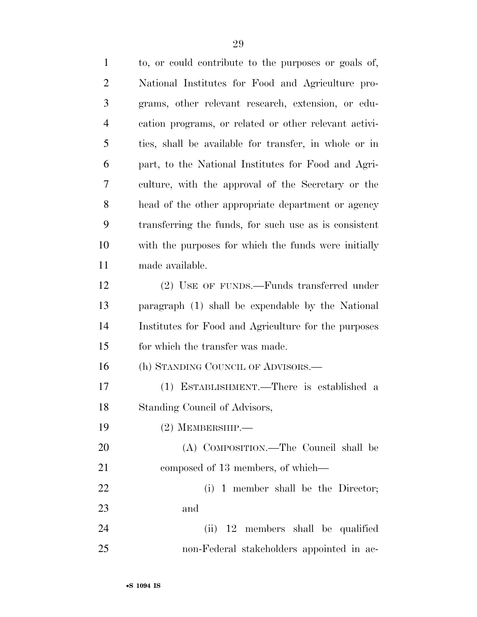to, or could contribute to the purposes or goals of, National Institutes for Food and Agriculture pro- grams, other relevant research, extension, or edu- cation programs, or related or other relevant activi- ties, shall be available for transfer, in whole or in part, to the National Institutes for Food and Agri- culture, with the approval of the Secretary or the head of the other appropriate department or agency transferring the funds, for such use as is consistent with the purposes for which the funds were initially made available. (2) USE OF FUNDS.—Funds transferred under paragraph (1) shall be expendable by the National Institutes for Food and Agriculture for the purposes 15 for which the transfer was made. (h) STANDING COUNCIL OF ADVISORS.— (1) ESTABLISHMENT.—There is established a Standing Council of Advisors, (2) MEMBERSHIP.— (A) COMPOSITION.—The Council shall be 21 composed of 13 members, of which— 22 (i) 1 member shall be the Director; and (ii) 12 members shall be qualified non-Federal stakeholders appointed in ac-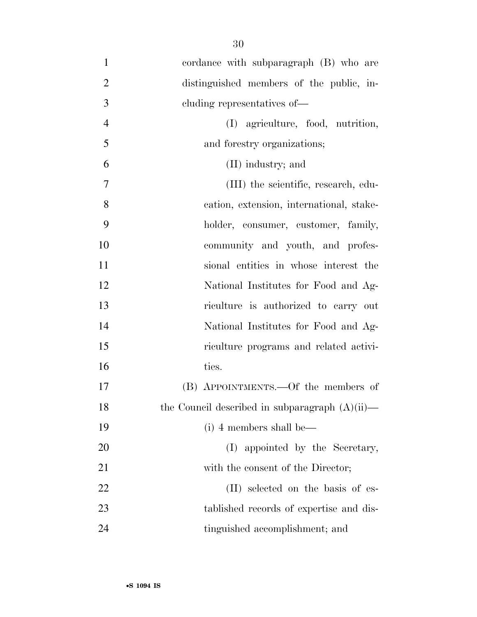- cordance with subparagraph (B) who are distinguished members of the public, in- cluding representatives of— (I) agriculture, food, nutrition, and forestry organizations; (II) industry; and (III) the scientific, research, edu- cation, extension, international, stake- holder, consumer, customer, family, community and youth, and profes- sional entities in whose interest the National Institutes for Food and Ag- riculture is authorized to carry out National Institutes for Food and Ag- riculture programs and related activi-16 ties. (B) APPOINTMENTS.—Of the members of 18 the Council described in subparagraph  $(A)(ii)$ — (i) 4 members shall be— 20 (I) appointed by the Secretary, 21 with the consent of the Director; 22 (II) selected on the basis of es-tablished records of expertise and dis-
- 24 tinguished accomplishment; and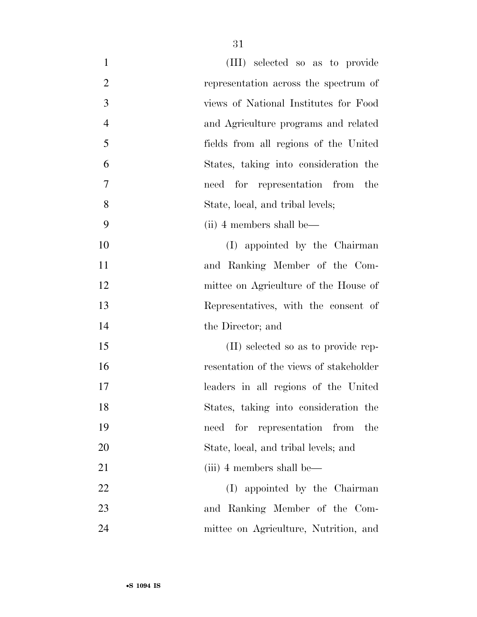| $\mathbf{1}$   | (III) selected so as to provide         |
|----------------|-----------------------------------------|
| $\overline{2}$ | representation across the spectrum of   |
| 3              | views of National Institutes for Food   |
| $\overline{4}$ | and Agriculture programs and related    |
| 5              | fields from all regions of the United   |
| 6              | States, taking into consideration the   |
| $\overline{7}$ | need for representation from the        |
| 8              | State, local, and tribal levels;        |
| 9              | (ii) 4 members shall be—                |
| 10             | (I) appointed by the Chairman           |
| 11             | and Ranking Member of the Com-          |
| 12             | mittee on Agriculture of the House of   |
| 13             | Representatives, with the consent of    |
| 14             | the Director; and                       |
| 15             | (II) selected so as to provide rep-     |
| 16             | resentation of the views of stakeholder |
| 17             | leaders in all regions of the United    |
| 18             | States, taking into consideration the   |
| 19             | need for representation from<br>the     |
| 20             | State, local, and tribal levels; and    |
| 21             | (iii) 4 members shall be—               |
| 22             | (I) appointed by the Chairman           |
| 23             | and Ranking Member of the Com-          |
| 24             | mittee on Agriculture, Nutrition, and   |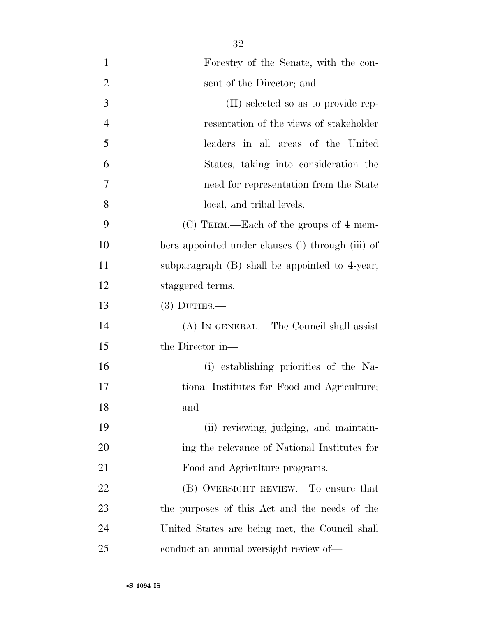| $\mathbf{1}$   | Forestry of the Senate, with the con-             |
|----------------|---------------------------------------------------|
| $\overline{2}$ | sent of the Director; and                         |
| 3              | (II) selected so as to provide rep-               |
| $\overline{4}$ | resentation of the views of stakeholder           |
| 5              | leaders in all areas of the United                |
| 6              | States, taking into consideration the             |
| 7              | need for representation from the State            |
| 8              | local, and tribal levels.                         |
| 9              | $(C)$ TERM.—Each of the groups of 4 mem-          |
| 10             | bers appointed under clauses (i) through (iii) of |
| 11             | subparagraph $(B)$ shall be appointed to 4-year,  |
| 12             | staggered terms.                                  |
| 13             | $(3)$ DUTIES.—                                    |
| 14             | (A) IN GENERAL.—The Council shall assist          |
| 15             | the Director in—                                  |
| 16             | (i) establishing priorities of the Na-            |
| 17             | tional Institutes for Food and Agriculture;       |
| 18             | and                                               |
| 19             | (ii) reviewing, judging, and maintain-            |
| 20             | ing the relevance of National Institutes for      |
| 21             | Food and Agriculture programs.                    |
| 22             | (B) OVERSIGHT REVIEW.—To ensure that              |
| 23             | the purposes of this Act and the needs of the     |
| 24             | United States are being met, the Council shall    |
| 25             | conduct an annual oversight review of—            |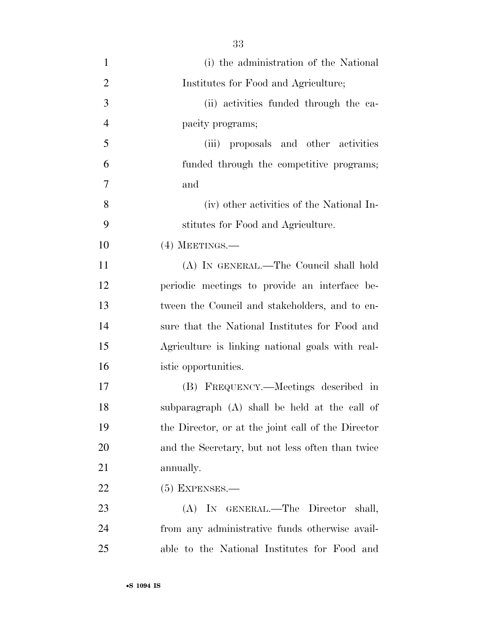| $\mathbf{1}$   | (i) the administration of the National             |
|----------------|----------------------------------------------------|
| $\overline{2}$ | Institutes for Food and Agriculture;               |
| 3              | (ii) activities funded through the ca-             |
| $\overline{4}$ | pacity programs;                                   |
| 5              | (iii) proposals and other activities               |
| 6              | funded through the competitive programs;           |
| 7              | and                                                |
| 8              | (iv) other activities of the National In-          |
| 9              | stitutes for Food and Agriculture.                 |
| 10             | $(4)$ MEETINGS.—                                   |
| 11             | (A) IN GENERAL.—The Council shall hold             |
| 12             | periodic meetings to provide an interface be-      |
| 13             | tween the Council and stakeholders, and to en-     |
| 14             | sure that the National Institutes for Food and     |
| 15             | Agriculture is linking national goals with real-   |
| 16             | istic opportunities.                               |
| 17             | (B) FREQUENCY.—Meetings described in               |
| 18             | subparagraph (A) shall be held at the call of      |
| 19             | the Director, or at the joint call of the Director |
| 20             | and the Secretary, but not less often than twice   |
| 21             | annually.                                          |
| 22             | $(5)$ EXPENSES.—                                   |
| 23             | (A) IN GENERAL.—The Director<br>shall,             |
| 24             | from any administrative funds otherwise avail-     |
| 25             | able to the National Institutes for Food and       |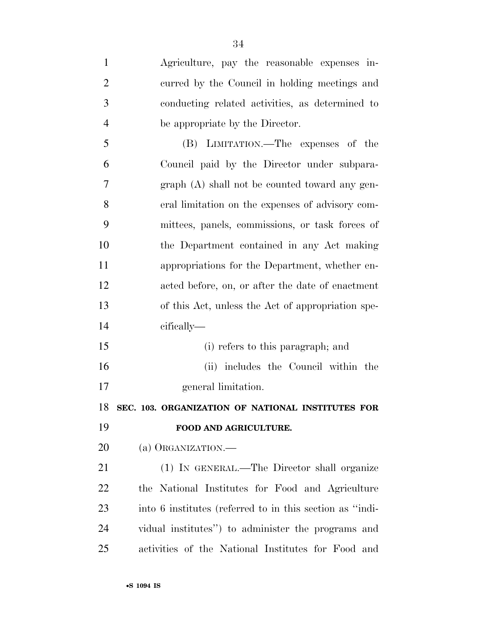Agriculture, pay the reasonable expenses in- curred by the Council in holding meetings and conducting related activities, as determined to be appropriate by the Director. (B) LIMITATION.—The expenses of the Council paid by the Director under subpara- graph (A) shall not be counted toward any gen- eral limitation on the expenses of advisory com- mittees, panels, commissions, or task forces of the Department contained in any Act making appropriations for the Department, whether en- acted before, on, or after the date of enactment of this Act, unless the Act of appropriation spe- cifically— (i) refers to this paragraph; and (ii) includes the Council within the general limitation. **SEC. 103. ORGANIZATION OF NATIONAL INSTITUTES FOR FOOD AND AGRICULTURE.**  20 (a) ORGANIZATION.— (1) IN GENERAL.—The Director shall organize the National Institutes for Food and Agriculture into 6 institutes (referred to in this section as ''indi- vidual institutes'') to administer the programs and activities of the National Institutes for Food and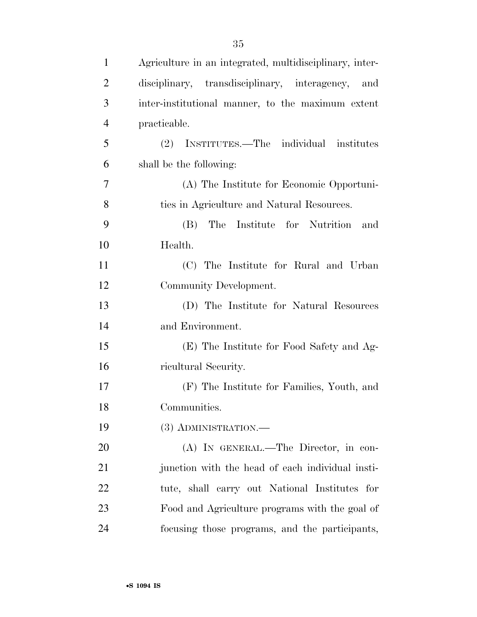| $\mathbf{1}$   | Agriculture in an integrated, multidisciplinary, inter- |
|----------------|---------------------------------------------------------|
| $\overline{2}$ | disciplinary, transdisciplinary, interagency,<br>and    |
| 3              | inter-institutional manner, to the maximum extent       |
| $\overline{4}$ | practicable.                                            |
| 5              | (2) INSTITUTES.—The individual institutes               |
| 6              | shall be the following:                                 |
| 7              | (A) The Institute for Economic Opportuni-               |
| 8              | ties in Agriculture and Natural Resources.              |
| 9              | The Institute for Nutrition and<br>(B)                  |
| 10             | Health.                                                 |
| 11             | (C) The Institute for Rural and Urban                   |
| 12             | Community Development.                                  |
| 13             | (D) The Institute for Natural Resources                 |
| 14             | and Environment.                                        |
| 15             | (E) The Institute for Food Safety and Ag-               |
| 16             | ricultural Security.                                    |
| 17             | (F) The Institute for Families, Youth, and              |
| 18             | Communities.                                            |
| 19             | (3) ADMINISTRATION.—                                    |
| 20             | (A) IN GENERAL.—The Director, in con-                   |
| 21             | junction with the head of each individual insti-        |
| 22             | tute, shall carry out National Institutes for           |
| 23             | Food and Agriculture programs with the goal of          |
| 24             | focusing those programs, and the participants,          |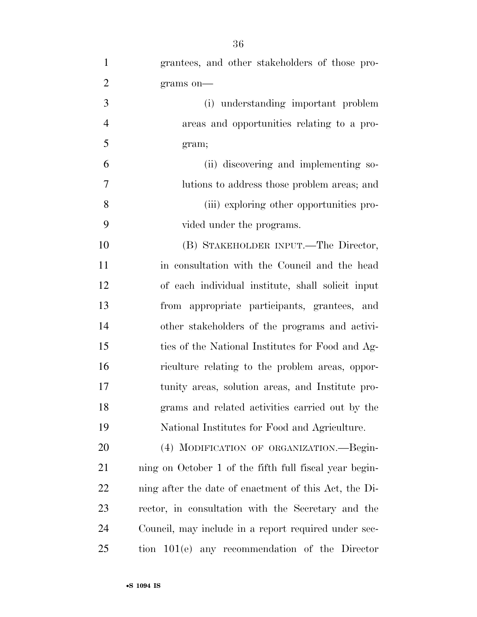| $\mathbf{1}$   | grantees, and other stakeholders of those pro-         |
|----------------|--------------------------------------------------------|
| $\overline{2}$ | grams on-                                              |
| $\overline{3}$ | (i) understanding important problem                    |
| $\overline{4}$ | areas and opportunities relating to a pro-             |
| 5              | gram;                                                  |
| 6              | (ii) discovering and implementing so-                  |
| 7              | lutions to address those problem areas; and            |
| 8              | (iii) exploring other opportunities pro-               |
| 9              | vided under the programs.                              |
| 10             | (B) STAKEHOLDER INPUT.—The Director,                   |
| 11             | in consultation with the Council and the head          |
| 12             | of each individual institute, shall solicit input      |
| 13             | from appropriate participants, grantees, and           |
| 14             | other stakeholders of the programs and activi-         |
| 15             | ties of the National Institutes for Food and Ag-       |
| 16             | riculture relating to the problem areas, oppor-        |
| 17             | tunity areas, solution areas, and Institute pro-       |
| 18             | grams and related activities carried out by the        |
| 19             | National Institutes for Food and Agriculture.          |
| 20             | (4) MODIFICATION OF ORGANIZATION.—Begin-               |
| 21             | ning on October 1 of the fifth full fiscal year begin- |
| 22             | ning after the date of enactment of this Act, the Di-  |
| 23             | rector, in consultation with the Secretary and the     |
| 24             | Council, may include in a report required under sec-   |
| 25             | tion 101(e) any recommendation of the Director         |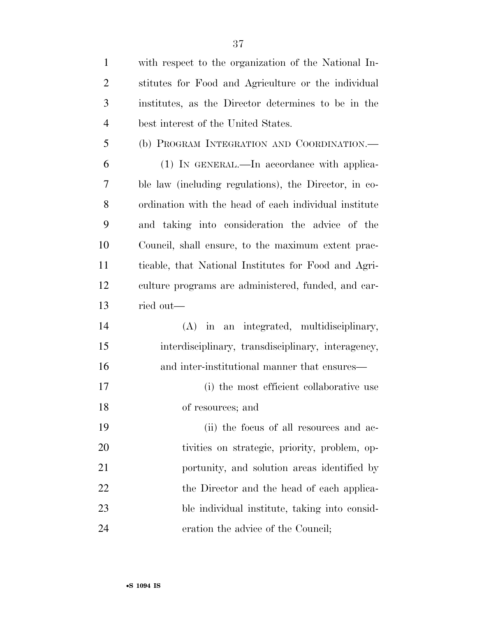| $\mathbf{1}$   | with respect to the organization of the National In-  |
|----------------|-------------------------------------------------------|
| $\overline{2}$ | stitutes for Food and Agriculture or the individual   |
| 3              | institutes, as the Director determines to be in the   |
| $\overline{4}$ | best interest of the United States.                   |
| 5              | (b) PROGRAM INTEGRATION AND COORDINATION.-            |
| 6              | (1) IN GENERAL.—In accordance with applica-           |
| 7              | ble law (including regulations), the Director, in co- |
| 8              | ordination with the head of each individual institute |
| 9              | and taking into consideration the advice of the       |
| 10             | Council, shall ensure, to the maximum extent prac-    |
| 11             | ticable, that National Institutes for Food and Agri-  |
| 12             | culture programs are administered, funded, and car-   |
| 13             | ried out—                                             |
| 14             | (A) in an integrated, multidisciplinary,              |
| 15             | interdisciplinary, transdisciplinary, interagency,    |
| 16             | and inter-institutional manner that ensures—          |
| 17             | (i) the most efficient collaborative use              |
| 18             | of resources; and                                     |
| 19             | (ii) the focus of all resources and ac-               |
| 20             | tivities on strategic, priority, problem, op-         |
| 21             | portunity, and solution areas identified by           |
| 22             | the Director and the head of each applica-            |
| 23             | ble individual institute, taking into consid-         |
| 24             | eration the advice of the Council;                    |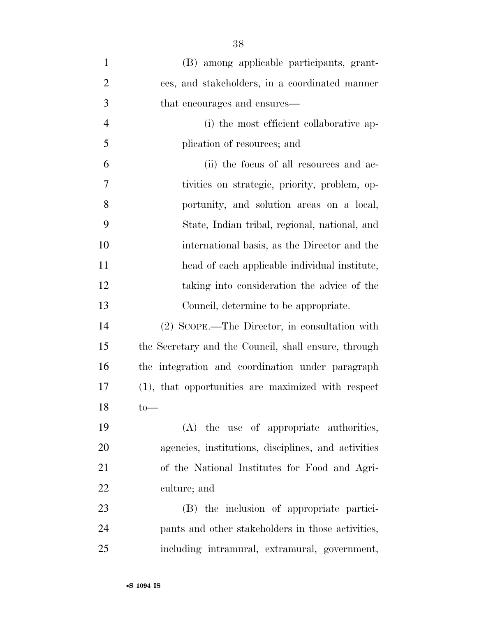| $\mathbf{1}$   | (B) among applicable participants, grant-            |
|----------------|------------------------------------------------------|
| $\overline{2}$ | ees, and stakeholders, in a coordinated manner       |
| 3              | that encourages and ensures—                         |
| $\overline{4}$ | (i) the most efficient collaborative ap-             |
| 5              | plication of resources; and                          |
| 6              | (ii) the focus of all resources and ac-              |
| 7              | tivities on strategic, priority, problem, op-        |
| 8              | portunity, and solution areas on a local,            |
| 9              | State, Indian tribal, regional, national, and        |
| 10             | international basis, as the Director and the         |
| 11             | head of each applicable individual institute,        |
| 12             | taking into consideration the advice of the          |
| 13             | Council, determine to be appropriate.                |
| 14             | (2) SCOPE.—The Director, in consultation with        |
| 15             | the Secretary and the Council, shall ensure, through |
| 16             | the integration and coordination under paragraph     |
| 17             | (1), that opportunities are maximized with respect   |
| 18             | $\text{to}$                                          |
| 19             | (A) the use of appropriate authorities,              |
| 20             | agencies, institutions, disciplines, and activities  |
| 21             | of the National Institutes for Food and Agri-        |
| 22             | culture; and                                         |
| 23             | (B) the inclusion of appropriate partici-            |
| 24             | pants and other stakeholders in those activities,    |
| 25             | including intramural, extramural, government,        |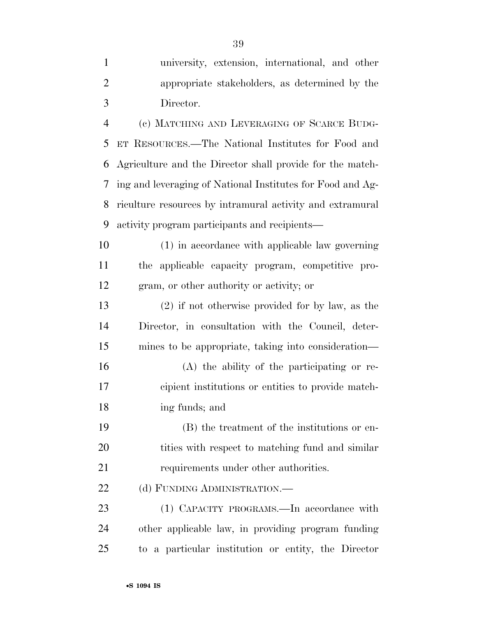university, extension, international, and other appropriate stakeholders, as determined by the Director. (c) MATCHING AND LEVERAGING OF SCARCE BUDG- ET RESOURCES.—The National Institutes for Food and Agriculture and the Director shall provide for the match- ing and leveraging of National Institutes for Food and Ag- riculture resources by intramural activity and extramural activity program participants and recipients— (1) in accordance with applicable law governing the applicable capacity program, competitive pro- gram, or other authority or activity; or (2) if not otherwise provided for by law, as the Director, in consultation with the Council, deter- mines to be appropriate, taking into consideration— (A) the ability of the participating or re- cipient institutions or entities to provide match- ing funds; and (B) the treatment of the institutions or en-20 tities with respect to matching fund and similar 21 requirements under other authorities.

22 (d) FUNDING ADMINISTRATION.—

23 (1) CAPACITY PROGRAMS.—In accordance with other applicable law, in providing program funding to a particular institution or entity, the Director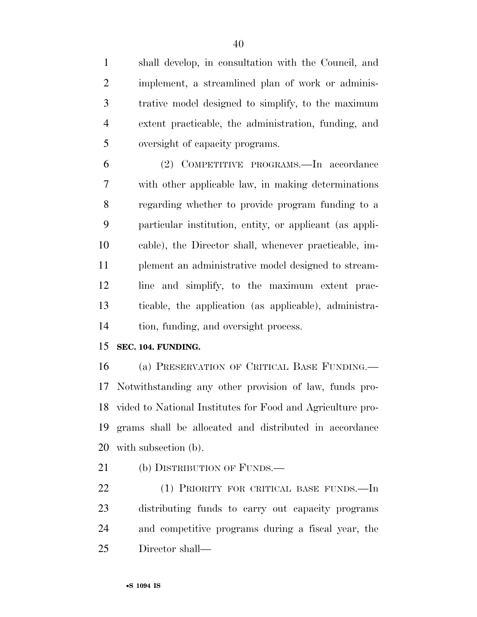shall develop, in consultation with the Council, and implement, a streamlined plan of work or adminis- trative model designed to simplify, to the maximum extent practicable, the administration, funding, and oversight of capacity programs.

 (2) COMPETITIVE PROGRAMS.—In accordance with other applicable law, in making determinations regarding whether to provide program funding to a particular institution, entity, or applicant (as appli- cable), the Director shall, whenever practicable, im- plement an administrative model designed to stream- line and simplify, to the maximum extent prac- ticable, the application (as applicable), administra-tion, funding, and oversight process.

### **SEC. 104. FUNDING.**

 (a) PRESERVATION OF CRITICAL BASE FUNDING.— Notwithstanding any other provision of law, funds pro- vided to National Institutes for Food and Agriculture pro- grams shall be allocated and distributed in accordance with subsection (b).

21 (b) DISTRIBUTION OF FUNDS.—

 (1) PRIORITY FOR CRITICAL BASE FUNDS.—In distributing funds to carry out capacity programs and competitive programs during a fiscal year, the Director shall—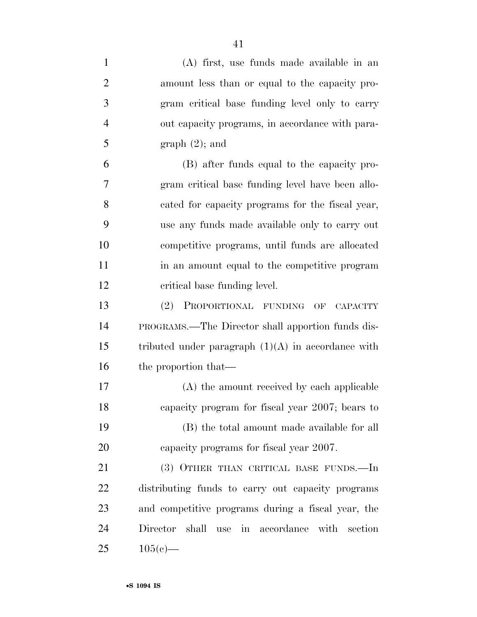| $\mathbf{1}$   | (A) first, use funds made available in an                |
|----------------|----------------------------------------------------------|
| $\overline{2}$ | amount less than or equal to the capacity pro-           |
| 3              | gram critical base funding level only to carry           |
| $\overline{4}$ | out capacity programs, in accordance with para-          |
| 5              | $graph(2);$ and                                          |
| 6              | (B) after funds equal to the capacity pro-               |
| 7              | gram critical base funding level have been allo-         |
| 8              | cated for capacity programs for the fiscal year,         |
| 9              | use any funds made available only to carry out           |
| 10             | competitive programs, until funds are allocated          |
| 11             | in an amount equal to the competitive program            |
| 12             | critical base funding level.                             |
| 13             | PROPORTIONAL FUNDING<br>(2)<br>OF CAPACITY               |
| 14             | <b>PROGRAMS.—The Director shall apportion funds dis-</b> |
| 15             | tributed under paragraph $(1)(A)$ in accordance with     |
| 16             | the proportion that—                                     |
| 17             | (A) the amount received by each applicable               |
| 18             | capacity program for fiscal year 2007; bears to          |
| 19             | (B) the total amount made available for all              |
| 20             | capacity programs for fiscal year 2007.                  |
| 21             | (3) OTHER THAN CRITICAL BASE FUNDS.—In                   |
| 22             | distributing funds to carry out capacity programs        |
| 23             | and competitive programs during a fiscal year, the       |
| 24             | shall use in accordance with<br>Director<br>section      |
| 25             | $105(e)$ —                                               |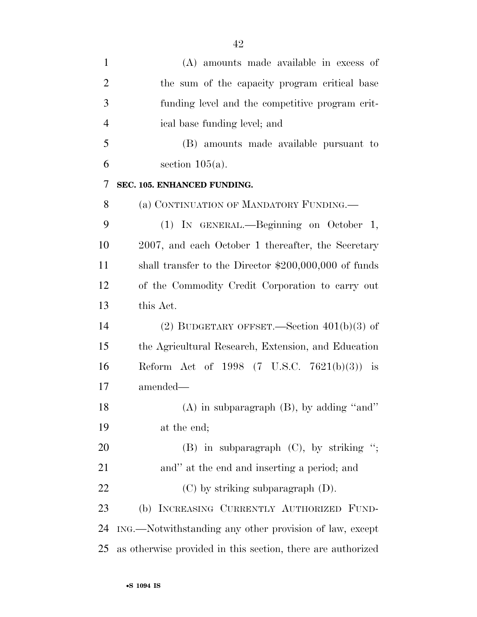| $\mathbf{1}$   | (A) amounts made available in excess of                     |
|----------------|-------------------------------------------------------------|
| $\overline{2}$ | the sum of the capacity program critical base               |
| 3              | funding level and the competitive program crit-             |
| $\overline{4}$ | ical base funding level; and                                |
| 5              | (B) amounts made available pursuant to                      |
| 6              | section $105(a)$ .                                          |
| 7              | SEC. 105. ENHANCED FUNDING.                                 |
| 8              | (a) CONTINUATION OF MANDATORY FUNDING.—                     |
| 9              | (1) IN GENERAL.—Beginning on October 1,                     |
| 10             | 2007, and each October 1 thereafter, the Secretary          |
| 11             | shall transfer to the Director $$200,000,000$ of funds      |
| 12             | of the Commodity Credit Corporation to carry out            |
| 13             | this Act.                                                   |
| 14             | (2) BUDGETARY OFFSET.—Section $401(b)(3)$ of                |
| 15             | the Agricultural Research, Extension, and Education         |
| 16             | Reform Act of 1998 $(7 \text{ U.S.C. } 7621(b)(3))$ is      |
| 17             | amended-                                                    |
| 18             | $(A)$ in subparagraph $(B)$ , by adding "and"               |
| 19             | at the end;                                                 |
| 20             | $(B)$ in subparagraph $(C)$ , by striking ";                |
| 21             | and" at the end and inserting a period; and                 |
| 22             | $(C)$ by striking subparagraph $(D)$ .                      |
| 23             | (b) INCREASING CURRENTLY AUTHORIZED FUND-                   |
| 24             | ING.—Notwithstanding any other provision of law, except     |
| 25             | as otherwise provided in this section, there are authorized |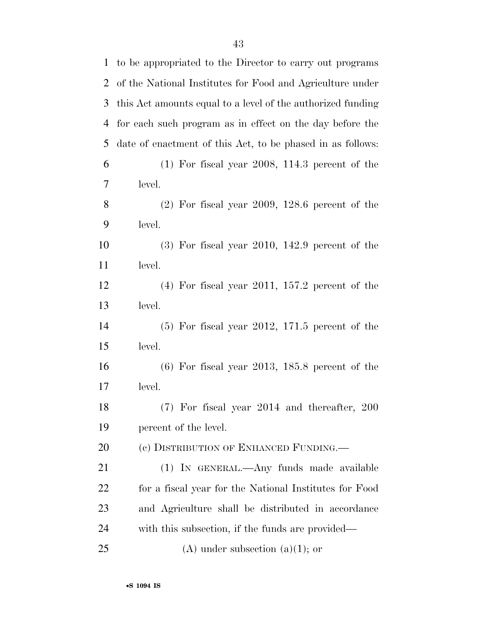| 1              | to be appropriated to the Director to carry out programs    |
|----------------|-------------------------------------------------------------|
| $\overline{2}$ | of the National Institutes for Food and Agriculture under   |
| 3              | this Act amounts equal to a level of the authorized funding |
| 4              | for each such program as in effect on the day before the    |
| 5              | date of enactment of this Act, to be phased in as follows:  |
| 6              | $(1)$ For fiscal year 2008, 114.3 percent of the            |
| 7              | level.                                                      |
| 8              | $(2)$ For fiscal year 2009, 128.6 percent of the            |
| 9              | level.                                                      |
| 10             | $(3)$ For fiscal year 2010, 142.9 percent of the            |
| 11             | level.                                                      |
| 12             | $(4)$ For fiscal year 2011, 157.2 percent of the            |
| 13             | level.                                                      |
| 14             | $(5)$ For fiscal year 2012, 171.5 percent of the            |
| 15             | level.                                                      |
| 16             | $(6)$ For fiscal year 2013, 185.8 percent of the            |
| 17             | level.                                                      |
| 18             | $(7)$ For fiscal year 2014 and thereafter, 200              |
| 19             | percent of the level.                                       |
| <b>20</b>      | (c) DISTRIBUTION OF ENHANCED FUNDING.                       |
| 21             | (1) IN GENERAL.—Any funds made available                    |
| 22             | for a fiscal year for the National Institutes for Food      |
| 23             | and Agriculture shall be distributed in accordance          |
| 24             | with this subsection, if the funds are provided—            |
| 25             | (A) under subsection (a)(1); or                             |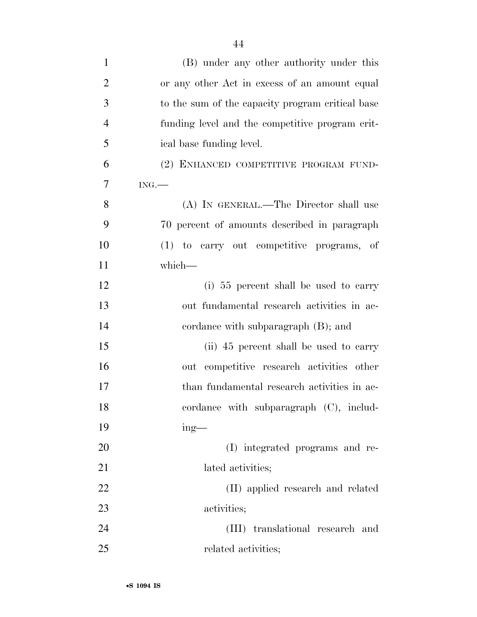| $\mathbf{1}$   | (B) under any other authority under this         |
|----------------|--------------------------------------------------|
| $\overline{2}$ | or any other Act in excess of an amount equal    |
| 3              | to the sum of the capacity program critical base |
| $\overline{4}$ | funding level and the competitive program crit-  |
| 5              | ical base funding level.                         |
| 6              | (2) ENHANCED COMPETITIVE PROGRAM FUND-           |
| 7              | ING.                                             |
| 8              | (A) IN GENERAL.—The Director shall use           |
| 9              | 70 percent of amounts described in paragraph     |
| 10             | (1) to carry out competitive programs, of        |
| 11             | which-                                           |
| 12             | (i) 55 percent shall be used to carry            |
| 13             | out fundamental research activities in ac-       |
| 14             | cordance with subparagraph $(B)$ ; and           |
| 15             | (ii) 45 percent shall be used to carry           |
| 16             | out competitive research activities other        |
| 17             | than fundamental research activities in ac-      |
| 18             | cordance with subparagraph (C), includ-          |
| 19             | $ing$ —                                          |
| 20             | (I) integrated programs and re-                  |
| 21             | lated activities;                                |
| 22             | (II) applied research and related                |
| 23             | activities;                                      |
| 24             | translational research and<br>(III)              |
| 25             | related activities;                              |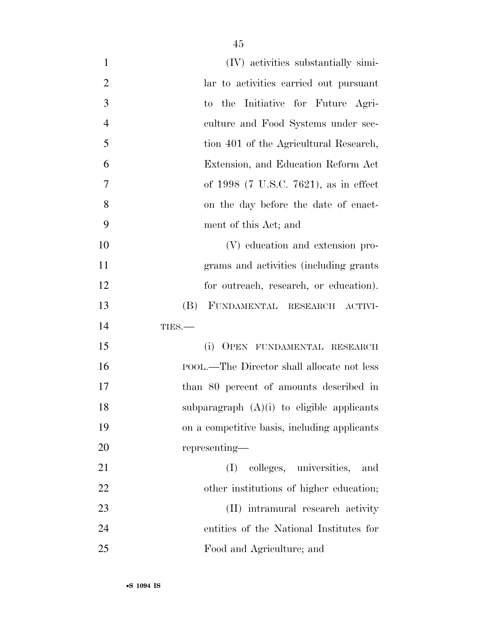| $\mathbf{1}$   | (IV) activities substantially simi-          |
|----------------|----------------------------------------------|
| $\overline{2}$ | lar to activities carried out pursuant       |
| 3              | the Initiative for Future Agri-<br>to        |
| $\overline{4}$ | culture and Food Systems under sec-          |
| 5              | tion 401 of the Agricultural Research,       |
| 6              | Extension, and Education Reform Act          |
| 7              | of 1998 (7 U.S.C. 7621), as in effect        |
| 8              | on the day before the date of enact-         |
| 9              | ment of this Act; and                        |
| 10             | (V) education and extension pro-             |
| 11             | grams and activities (including grants)      |
| 12             | for outreach, research, or education).       |
| 13             | (B)<br>FUNDAMENTAL RESEARCH ACTIVI-          |
| 14             | TIES.                                        |
| 15             | (i)<br>OPEN FUNDAMENTAL RESEARCH             |
| 16             | POOL.—The Director shall allocate not less   |
| 17             | than 80 percent of amounts described in      |
| 18             | subparagraph $(A)(i)$ to eligible applicants |
| 19             | on a competitive basis, including applicants |
| 20             | representing—                                |
| 21             | colleges, universities,<br>and<br>(I)        |
| 22             | other institutions of higher education;      |
| 23             | (II) intramural research activity            |
| 24             | entities of the National Institutes for      |
| 25             | Food and Agriculture; and                    |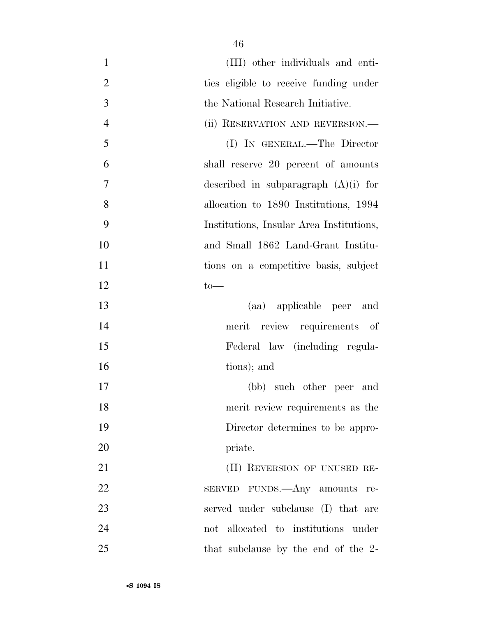| $\mathbf{1}$<br>(III) other individuals and enti-      |
|--------------------------------------------------------|
| $\mathbf{2}$<br>ties eligible to receive funding under |
| 3<br>the National Research Initiative.                 |
| $\overline{4}$<br>(ii) RESERVATION AND REVERSION.—     |
| 5<br>(I) IN GENERAL.—The Director                      |
| 6<br>shall reserve 20 percent of amounts               |
| 7<br>described in subparagraph $(A)(i)$ for            |
| 8<br>allocation to 1890 Institutions, 1994             |
| 9<br>Institutions, Insular Area Institutions,          |
| 10<br>and Small 1862 Land-Grant Institu-               |
| 11<br>tions on a competitive basis, subject            |
| 12<br>$to-$                                            |
| 13<br>(aa) applicable peer and                         |
| 14<br>review requirements of<br>merit                  |
| 15<br>Federal law (including regula-                   |
| 16<br>tions); and                                      |
| 17<br>(bb) such other peer and                         |
| 18<br>merit review requirements as the                 |
| 19<br>Director determines to be appro-                 |
| 20<br>priate.                                          |
| 21<br>(II) REVERSION OF UNUSED RE-                     |
| 22<br>SERVED FUNDS.—Any amounts<br>re-                 |
| 23<br>served under subclause (I) that are              |
| 24<br>not allocated to institutions under              |
| 25<br>that subclause by the end of the 2-              |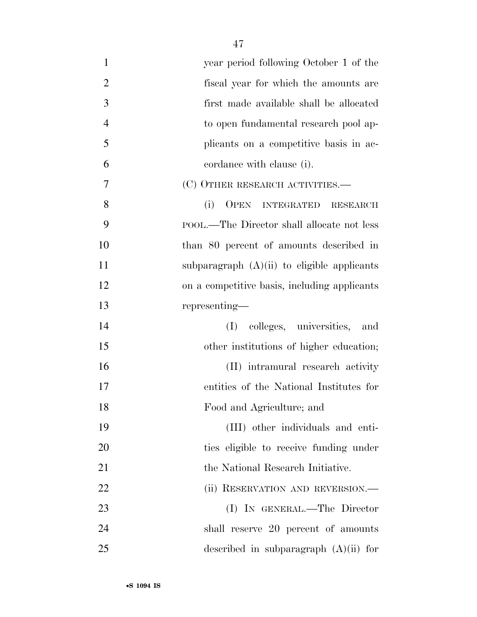| $\mathbf{1}$   | year period following October 1 of the                     |
|----------------|------------------------------------------------------------|
| $\overline{2}$ | fiscal year for which the amounts are                      |
| 3              | first made available shall be allocated                    |
| $\overline{4}$ | to open fundamental research pool ap-                      |
| 5              | plicants on a competitive basis in ac-                     |
| 6              | cordance with clause (i).                                  |
| 7              | (C) OTHER RESEARCH ACTIVITIES.—                            |
| 8              | (i)<br><b>OPEN</b><br><b>INTEGRATED</b><br><b>RESEARCH</b> |
| 9              | POOL.—The Director shall allocate not less                 |
| 10             | than 80 percent of amounts described in                    |
| 11             | subparagraph $(A)(ii)$ to eligible applicants              |
| 12             | on a competitive basis, including applicants               |
| 13             | representing—                                              |
| 14             | (I) colleges, universities,<br>and                         |
| 15             | other institutions of higher education;                    |
| 16             | (II) intramural research activity                          |
| 17             | entities of the National Institutes for                    |
| 18             | Food and Agriculture; and                                  |
| 19             | (III) other individuals and enti-                          |
| 20             | ties eligible to receive funding under                     |
| 21             | the National Research Initiative.                          |
| 22             | (ii) RESERVATION AND REVERSION.—                           |
| 23             | (I) IN GENERAL.—The Director                               |
| 24             | shall reserve 20 percent of amounts                        |
| 25             | described in subparagraph $(A)(ii)$ for                    |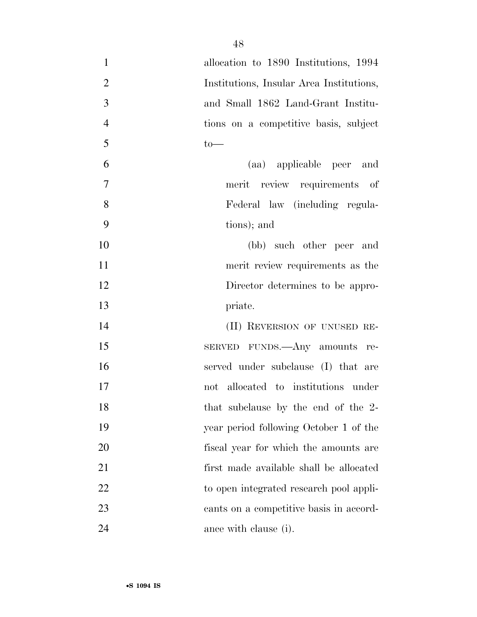| $\mathbf{1}$   | allocation to 1890 Institutions, 1994    |
|----------------|------------------------------------------|
| $\overline{2}$ | Institutions, Insular Area Institutions, |
| 3              | and Small 1862 Land-Grant Institu-       |
| $\overline{4}$ | tions on a competitive basis, subject    |
| 5              | $to-$                                    |
| 6              | (aa) applicable peer and                 |
| 7              | merit review requirements of             |
| 8              | Federal law (including regula-           |
| 9              | tions); and                              |
| 10             | (bb) such other peer and                 |
| 11             | merit review requirements as the         |
| 12             | Director determines to be appro-         |
| 13             | priate.                                  |
| 14             | (II) REVERSION OF UNUSED RE-             |
| 15             | SERVED FUNDS.—Any amounts re-            |
| 16             | served under subclause (I) that are      |
| 17             | not allocated to institutions under      |
| 18             | that subclause by the end of the 2-      |
| 19             | year period following October 1 of the   |
| 20             | fiscal year for which the amounts are    |
| 21             | first made available shall be allocated  |
| 22             | to open integrated research pool appli-  |
| 23             | cants on a competitive basis in accord-  |
| 24             | ance with clause (i).                    |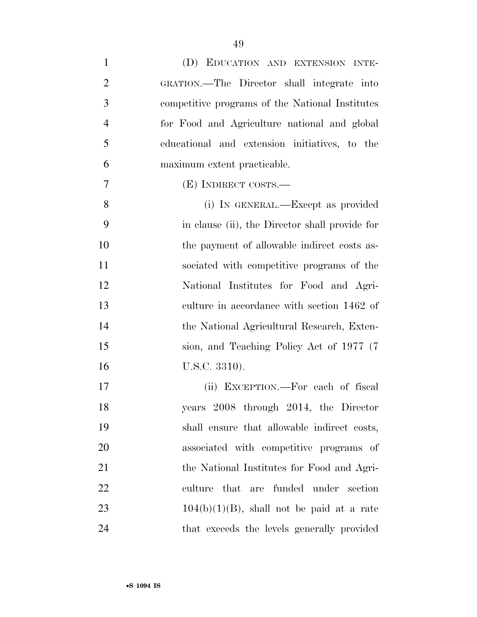| $\mathbf{1}$   | (D) EDUCATION AND EXTENSION INTE-               |
|----------------|-------------------------------------------------|
| $\overline{2}$ | GRATION.—The Director shall integrate into      |
| 3              | competitive programs of the National Institutes |
| $\overline{4}$ | for Food and Agriculture national and global    |
| 5              | educational and extension initiatives, to the   |
| 6              | maximum extent practicable.                     |
| 7              | (E) INDIRECT COSTS.—                            |
| 8              | (i) IN GENERAL.—Except as provided              |
| 9              | in clause (ii), the Director shall provide for  |
| 10             | the payment of allowable indirect costs as-     |
| 11             | sociated with competitive programs of the       |
| 12             | National Institutes for Food and Agri-          |
| 13             | culture in accordance with section 1462 of      |
| 14             | the National Agricultural Research, Exten-      |
| 15             | sion, and Teaching Policy Act of 1977 (7)       |
| 16             | U.S.C. 3310).                                   |
| 17             | (ii) EXCEPTION.—For each of fiscal              |
| 18             | years 2008 through 2014, the Director           |
| 19             | shall ensure that allowable indirect costs,     |
| 20             | associated with competitive programs of         |
| 21             | the National Institutes for Food and Agri-      |
| 22             | culture that are funded under section           |
| 23             | $104(b)(1)(B)$ , shall not be paid at a rate    |
| 24             | that exceeds the levels generally provided      |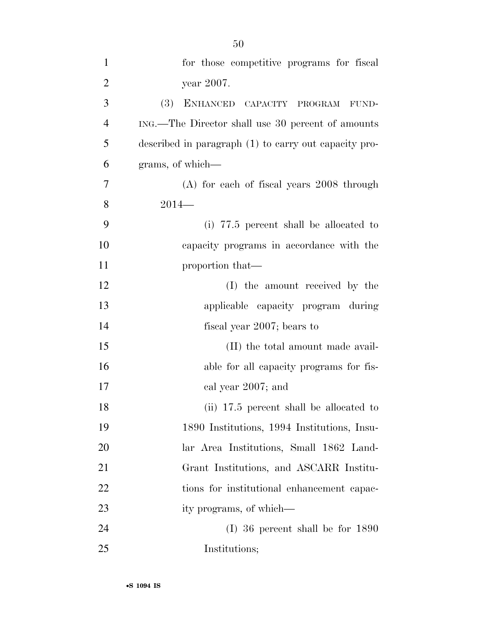| $\overline{2}$ | year 2007.                                            |
|----------------|-------------------------------------------------------|
| 3              | (3)<br>ENHANCED CAPACITY PROGRAM<br>FUND-             |
| $\overline{4}$ | ING.—The Director shall use 30 percent of amounts     |
| 5              | described in paragraph (1) to carry out capacity pro- |
| 6              | grams, of which—                                      |
| 7              | $(A)$ for each of fiscal years 2008 through           |
| 8              | $2014-$                                               |
| 9              | (i) 77.5 percent shall be allocated to                |
| 10             | capacity programs in accordance with the              |
| 11             | proportion that—                                      |
| 12             | (I) the amount received by the                        |
| 13             | applicable capacity program during                    |
| 14             | fiscal year 2007; bears to                            |
| 15             | (II) the total amount made avail-                     |
| 16             | able for all capacity programs for fis-               |
| 17             | cal year 2007; and                                    |
| 18             | (ii) 17.5 percent shall be allocated to               |
| 19             | 1890 Institutions, 1994 Institutions, Insu-           |
| 20             | lar Area Institutions, Small 1862 Land-               |
| 21             | Grant Institutions, and ASCARR Institu-               |
| 22             | tions for institutional enhancement capac-            |
| 23             | ity programs, of which—                               |
| 24             | $(I)$ 36 percent shall be for 1890                    |
| 25             | Institutions;                                         |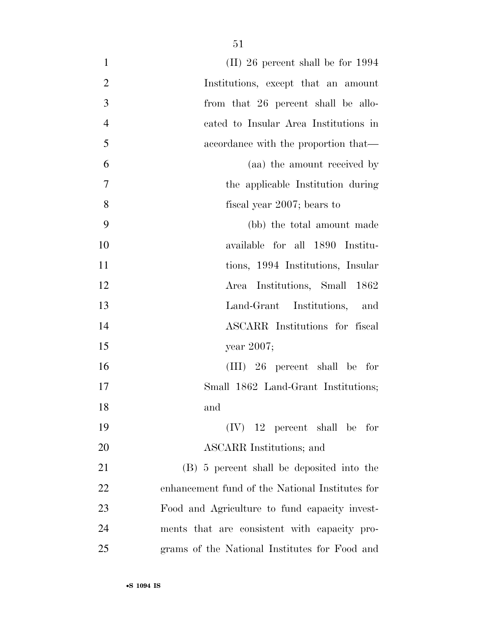| $\mathbf{1}$   | $(II)$ 26 percent shall be for 1994             |
|----------------|-------------------------------------------------|
| $\overline{2}$ | Institutions, except that an amount             |
| 3              | from that 26 percent shall be allo-             |
| $\overline{4}$ | cated to Insular Area Institutions in           |
| 5              | accordance with the proportion that—            |
| 6              | (aa) the amount received by                     |
| 7              | the applicable Institution during               |
| 8              | fiscal year 2007; bears to                      |
| 9              | (bb) the total amount made                      |
| 10             | available for all 1890 Institu-                 |
| 11             | tions, 1994 Institutions, Insular               |
| 12             | Area Institutions, Small 1862                   |
| 13             | Land-Grant Institutions, and                    |
| 14             | ASCARR Institutions for fiscal                  |
| 15             | year $2007$ ;                                   |
| 16             | $(III)$ 26 percent shall be for                 |
| 17             | Small 1862 Land-Grant Institutions;             |
| 18             | and                                             |
| 19             | $(IV)$ 12 percent shall be for                  |
| 20             | ASCARR Institutions; and                        |
| 21             | (B) 5 percent shall be deposited into the       |
| 22             | enhancement fund of the National Institutes for |
| 23             | Food and Agriculture to fund capacity invest-   |
| 24             | ments that are consistent with capacity pro-    |
| 25             | grams of the National Institutes for Food and   |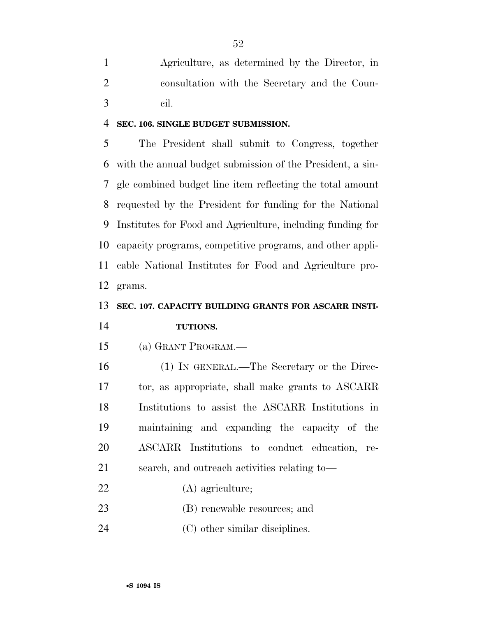Agriculture, as determined by the Director, in consultation with the Secretary and the Coun-cil.

#### **SEC. 106. SINGLE BUDGET SUBMISSION.**

 The President shall submit to Congress, together with the annual budget submission of the President, a sin- gle combined budget line item reflecting the total amount requested by the President for funding for the National Institutes for Food and Agriculture, including funding for capacity programs, competitive programs, and other appli- cable National Institutes for Food and Agriculture pro-grams.

# **SEC. 107. CAPACITY BUILDING GRANTS FOR ASCARR INSTI-TUTIONS.**

(a) GRANT PROGRAM.—

 (1) IN GENERAL.—The Secretary or the Direc- tor, as appropriate, shall make grants to ASCARR Institutions to assist the ASCARR Institutions in maintaining and expanding the capacity of the ASCARR Institutions to conduct education, re-search, and outreach activities relating to—

- (A) agriculture;
- 23 (B) renewable resources; and
- 24 (C) other similar disciplines.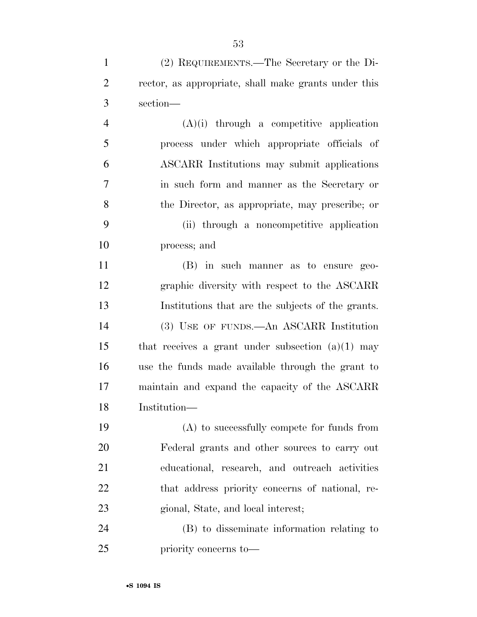(2) REQUIREMENTS.—The Secretary or the Di-

| $\overline{2}$ | rector, as appropriate, shall make grants under this |
|----------------|------------------------------------------------------|
| 3              | section-                                             |
| $\overline{4}$ | $(A)(i)$ through a competitive application           |
| 5              | process under which appropriate officials of         |
| 6              | ASCARR Institutions may submit applications          |
| $\tau$         | in such form and manner as the Secretary or          |
| 8              | the Director, as appropriate, may prescribe; or      |
| 9              | (ii) through a noncompetitive application            |
| 10             | process; and                                         |
| 11             | (B) in such manner as to ensure geo-                 |
| 12             | graphic diversity with respect to the ASCARR         |
| 13             | Institutions that are the subjects of the grants.    |
| 14             | (3) USE OF FUNDS.—An ASCARR Institution              |
| 15             | that receives a grant under subsection $(a)(1)$ may  |
| 16             | use the funds made available through the grant to    |
| 17             | maintain and expand the capacity of the ASCARR       |
| 18             | Institution-                                         |
| 19             | (A) to successfully compete for funds from           |
| 20             | Federal grants and other sources to carry out        |
| 21             | educational, research, and outreach activities       |
| 22             | that address priority concerns of national, re-      |
| 23             | gional, State, and local interest;                   |
| 24             | (B) to disseminate information relating to           |
| 25             | priority concerns to—                                |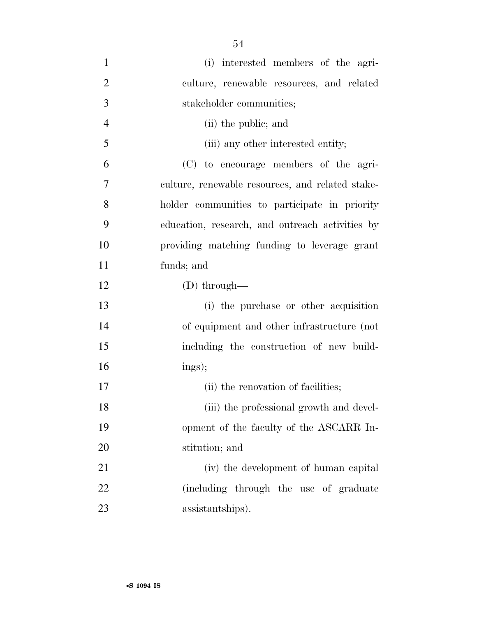| $\mathbf{1}$   | (i) interested members of the agri-              |
|----------------|--------------------------------------------------|
| $\overline{2}$ | culture, renewable resources, and related        |
| 3              | stakeholder communities;                         |
| $\overline{4}$ | (ii) the public; and                             |
| 5              | (iii) any other interested entity;               |
| 6              | (C) to encourage members of the agri-            |
| 7              | culture, renewable resources, and related stake- |
| 8              | holder communities to participate in priority    |
| 9              | education, research, and outreach activities by  |
| 10             | providing matching funding to leverage grant     |
| 11             | funds; and                                       |
| 12             | $(D)$ through—                                   |
| 13             | (i) the purchase or other acquisition            |
| 14             | of equipment and other infrastructure (not       |
| 15             | including the construction of new build-         |
| 16             | ings);                                           |
| 17             | (ii) the renovation of facilities;               |
| 18             | (iii) the professional growth and devel-         |
| 19             | opment of the faculty of the ASCARR In-          |
| 20             | stitution; and                                   |
| 21             | (iv) the development of human capital            |
| 22             | (including through the use of graduate           |
| 23             | assistantships).                                 |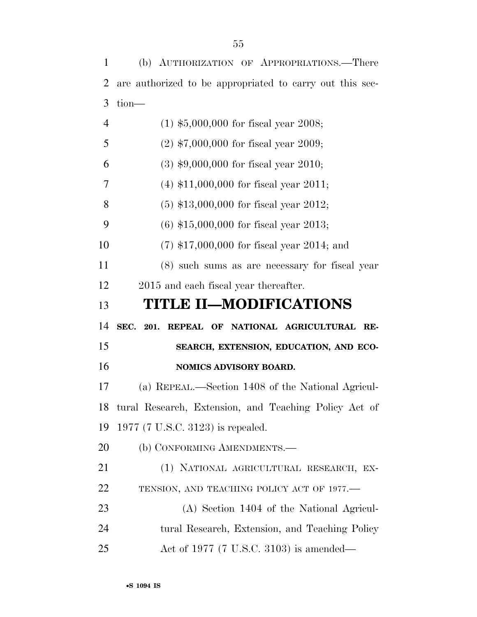(b) AUTHORIZATION OF APPROPRIATIONS.—There are authorized to be appropriated to carry out this sec- tion— (1) \$5,000,000 for fiscal year 2008; (2) \$7,000,000 for fiscal year 2009; (3) \$9,000,000 for fiscal year 2010; (4) \$11,000,000 for fiscal year 2011; (5) \$13,000,000 for fiscal year 2012; (6) \$15,000,000 for fiscal year 2013; (7) \$17,000,000 for fiscal year 2014; and (8) such sums as are necessary for fiscal year 2015 and each fiscal year thereafter. **TITLE II—MODIFICATIONS SEC. 201. REPEAL OF NATIONAL AGRICULTURAL RE- SEARCH, EXTENSION, EDUCATION, AND ECO- NOMICS ADVISORY BOARD.**  (a) REPEAL.—Section 1408 of the National Agricul- tural Research, Extension, and Teaching Policy Act of 1977 (7 U.S.C. 3123) is repealed. 20 (b) CONFORMING AMENDMENTS.— (1) NATIONAL AGRICULTURAL RESEARCH, EX- TENSION, AND TEACHING POLICY ACT OF 1977.— (A) Section 1404 of the National Agricul- tural Research, Extension, and Teaching Policy Act of 1977 (7 U.S.C. 3103) is amended—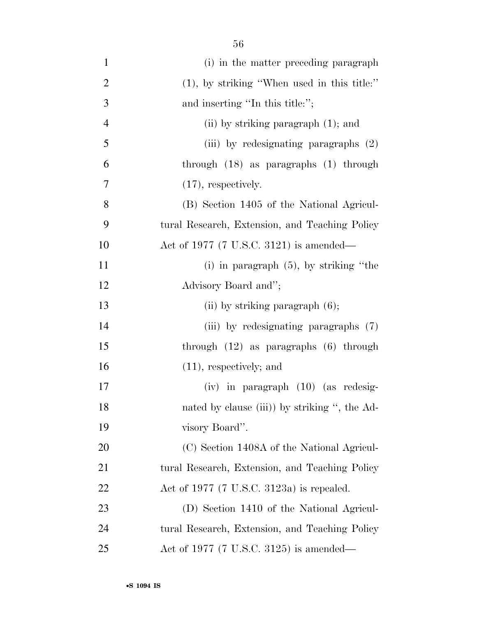| $\mathbf{1}$   | (i) in the matter preceding paragraph                |
|----------------|------------------------------------------------------|
| $\overline{2}$ | $(1)$ , by striking "When used in this title:"       |
| 3              | and inserting "In this title:";                      |
| $\overline{4}$ | (ii) by striking paragraph $(1)$ ; and               |
| 5              | (iii) by redesignating paragraphs (2)                |
| 6              | through $(18)$ as paragraphs $(1)$ through           |
| 7              | $(17)$ , respectively.                               |
| 8              | (B) Section 1405 of the National Agricul-            |
| 9              | tural Research, Extension, and Teaching Policy       |
| 10             | Act of 1977 (7 U.S.C. 3121) is amended—              |
| 11             | (i) in paragraph $(5)$ , by striking "the            |
| 12             | Advisory Board and";                                 |
| 13             | (ii) by striking paragraph $(6)$ ;                   |
| 14             | (iii) by redesignating paragraphs (7)                |
| 15             | through $(12)$ as paragraphs $(6)$ through           |
| 16             | $(11)$ , respectively; and                           |
| 17             | $(iv)$ in paragraph $(10)$ (as redesig-              |
| 18             | nated by clause (iii)) by striking ", the Ad-        |
| 19             | visory Board".                                       |
| 20             | (C) Section 1408A of the National Agricul-           |
| 21             | tural Research, Extension, and Teaching Policy       |
| 22             | Act of 1977 $(7 \text{ U.S.C. } 3123a)$ is repealed. |
| 23             | (D) Section 1410 of the National Agricul-            |
| 24             | tural Research, Extension, and Teaching Policy       |
| 25             | Act of 1977 (7 U.S.C. 3125) is amended—              |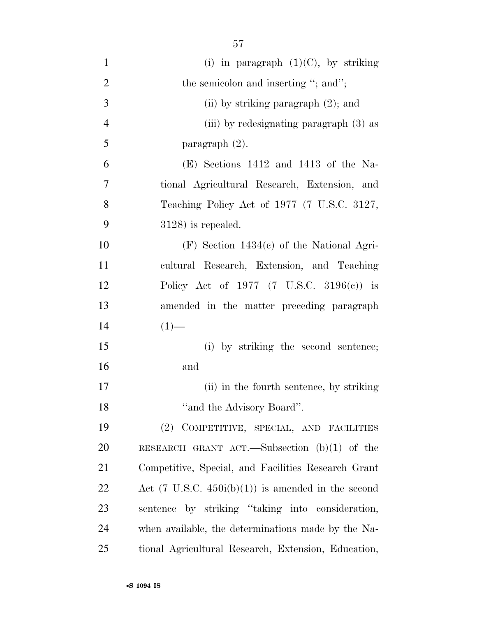| $\mathbf{1}$   | (i) in paragraph $(1)(C)$ , by striking                       |
|----------------|---------------------------------------------------------------|
| $\overline{2}$ | the semicolon and inserting "; and";                          |
| 3              | (ii) by striking paragraph $(2)$ ; and                        |
| $\overline{4}$ | (iii) by redesignating paragraph (3) as                       |
| 5              | paragraph $(2)$ .                                             |
| 6              | $(E)$ Sections 1412 and 1413 of the Na-                       |
| 7              | tional Agricultural Research, Extension, and                  |
| 8              | Teaching Policy Act of 1977 (7 U.S.C. 3127,                   |
| 9              | $3128$ ) is repealed.                                         |
| 10             | $(F)$ Section 1434 $(c)$ of the National Agri-                |
| 11             | cultural Research, Extension, and Teaching                    |
| 12             | Policy Act of 1977 (7 U.S.C. 3196(c)) is                      |
| 13             | amended in the matter preceding paragraph                     |
| 14             | $(1)$ —                                                       |
| 15             | (i) by striking the second sentence;                          |
| 16             | and                                                           |
| 17             | (ii) in the fourth sentence, by striking                      |
| 18             | "and the Advisory Board".                                     |
| 19             | (2) COMPETITIVE, SPECIAL, AND FACILITIES                      |
| 20             | RESEARCH GRANT ACT.—Subsection $(b)(1)$ of the                |
| 21             | Competitive, Special, and Facilities Research Grant           |
| <u>22</u>      | Act $(7 \text{ U.S.C. } 450i(b)(1))$ is amended in the second |
| 23             | sentence by striking "taking into consideration,              |
| 24             | when available, the determinations made by the Na-            |
| 25             | tional Agricultural Research, Extension, Education,           |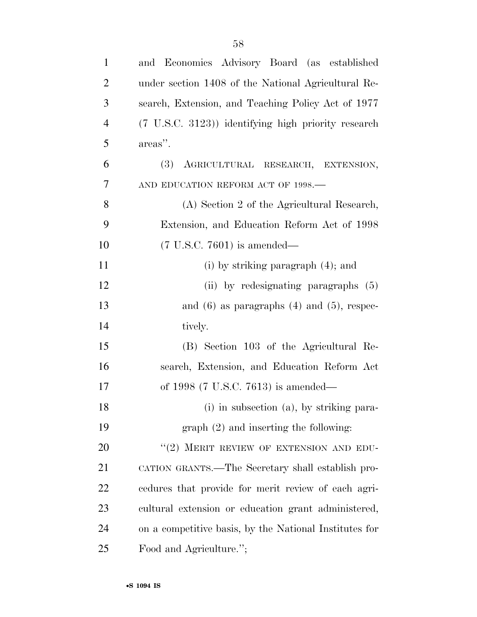| $\mathbf{1}$   | and Economics Advisory Board (as established                  |
|----------------|---------------------------------------------------------------|
| $\overline{2}$ | under section 1408 of the National Agricultural Re-           |
| 3              | search, Extension, and Teaching Policy Act of 1977            |
| $\overline{4}$ | $(7 \text{ U.S.C. } 3123)$ identifying high priority research |
| 5              | areas".                                                       |
| 6              | AGRICULTURAL RESEARCH, EXTENSION,<br>(3)                      |
| 7              | AND EDUCATION REFORM ACT OF 1998.-                            |
| 8              | (A) Section 2 of the Agricultural Research,                   |
| 9              | Extension, and Education Reform Act of 1998                   |
| 10             | $(7 \text{ U.S.C. } 7601)$ is amended—                        |
| 11             | (i) by striking paragraph $(4)$ ; and                         |
| 12             | (ii) by redesignating paragraphs $(5)$                        |
| 13             | and $(6)$ as paragraphs $(4)$ and $(5)$ , respec-             |
| 14             | tively.                                                       |
| 15             | (B) Section 103 of the Agricultural Re-                       |
| 16             | search, Extension, and Education Reform Act                   |
| 17             | of 1998 (7 U.S.C. 7613) is amended—                           |
| 18             | (i) in subsection (a), by striking para-                      |
| 19             | $graph (2)$ and inserting the following:                      |
| 20             | "(2) MERIT REVIEW OF EXTENSION AND EDU-                       |
| 21             | CATION GRANTS.—The Secretary shall establish pro-             |
| 22             | cedures that provide for merit review of each agri-           |
| 23             | cultural extension or education grant administered,           |
| 24             | on a competitive basis, by the National Institutes for        |
| 25             | Food and Agriculture.";                                       |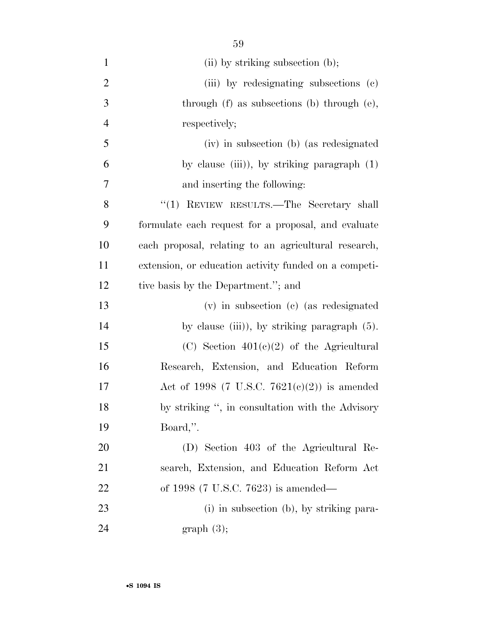| $\mathbf{1}$   | $(ii)$ by striking subsection $(b)$ ;                 |
|----------------|-------------------------------------------------------|
| $\overline{2}$ | (iii) by redesignating subsections (c)                |
| 3              | through $(f)$ as subsections $(b)$ through $(e)$ ,    |
| $\overline{4}$ | respectively;                                         |
| 5              | (iv) in subsection (b) (as redesignated               |
| 6              | by clause (iii)), by striking paragraph $(1)$         |
| 7              | and inserting the following:                          |
| 8              | "(1) REVIEW RESULTS.—The Secretary shall              |
| 9              | formulate each request for a proposal, and evaluate   |
| 10             | each proposal, relating to an agricultural research,  |
| 11             | extension, or education activity funded on a competi- |
| 12             | tive basis by the Department."; and                   |
| 13             | $(v)$ in subsection $(e)$ (as redesignated            |
| 14             | by clause (iii)), by striking paragraph $(5)$ .       |
| 15             | (C) Section $401(e)(2)$ of the Agricultural           |
| 16             | Research, Extension, and Education Reform             |
| 17             | Act of 1998 (7 U.S.C. 7621(c)(2)) is amended          |
| 18             | by striking ", in consultation with the Advisory      |
| 19             | Board,".                                              |
| 20             | (D) Section 403 of the Agricultural Re-               |
| 21             | search, Extension, and Education Reform Act           |
| 22             | of 1998 (7 U.S.C. 7623) is amended—                   |
| 23             | (i) in subsection (b), by striking para-              |
| 24             | graph(3);                                             |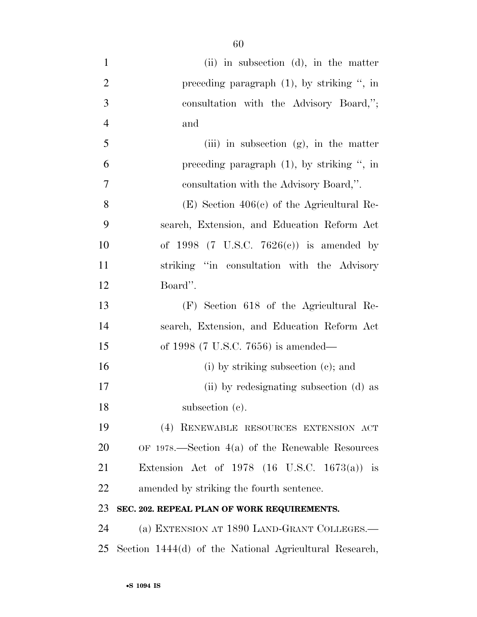| $\mathbf{1}$   | $(ii)$ in subsection $(d)$ , in the matter              |
|----------------|---------------------------------------------------------|
| $\overline{2}$ | preceding paragraph $(1)$ , by striking ", in           |
| 3              | consultation with the Advisory Board,";                 |
| $\overline{4}$ | and                                                     |
| 5              | (iii) in subsection $(g)$ , in the matter               |
| 6              | preceding paragraph $(1)$ , by striking ", in           |
| 7              | consultation with the Advisory Board,".                 |
| 8              | $(E)$ Section 406(c) of the Agricultural Re-            |
| 9              | search, Extension, and Education Reform Act             |
| 10             | of 1998 (7 U.S.C. 7626(c)) is amended by                |
| 11             | striking "in consultation with the Advisory             |
| 12             | Board".                                                 |
| 13             | (F) Section 618 of the Agricultural Re-                 |
| 14             | search, Extension, and Education Reform Act             |
| 15             | of 1998 (7 U.S.C. 7656) is amended—                     |
| 16             | (i) by striking subsection $(c)$ ; and                  |
| 17             | (ii) by redesignating subsection (d) as                 |
| 18             | subsection (c).                                         |
| 19             | (4) RENEWABLE RESOURCES EXTENSION ACT                   |
| 20             | OF 1978.—Section $4(a)$ of the Renewable Resources      |
| 21             | Extension Act of 1978 $(16 \text{ U.S.C. } 1673(a))$ is |
| 22             | amended by striking the fourth sentence.                |
| 23             | SEC. 202. REPEAL PLAN OF WORK REQUIREMENTS.             |
| 24             | (a) EXTENSION AT 1890 LAND-GRANT COLLEGES.—             |
| 25             | Section 1444(d) of the National Agricultural Research,  |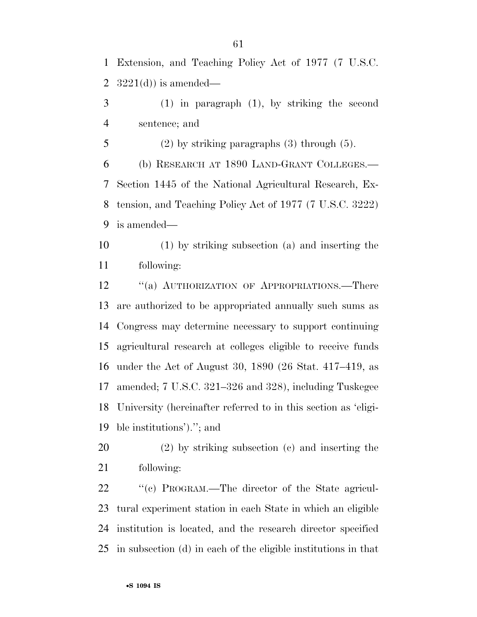Extension, and Teaching Policy Act of 1977 (7 U.S.C. 2  $3221(d)$  is amended—

 (1) in paragraph (1), by striking the second sentence; and

(2) by striking paragraphs (3) through (5).

 (b) RESEARCH AT 1890 LAND-GRANT COLLEGES.— Section 1445 of the National Agricultural Research, Ex- tension, and Teaching Policy Act of 1977 (7 U.S.C. 3222) is amended—

 (1) by striking subsection (a) and inserting the following:

12 "(a) AUTHORIZATION OF APPROPRIATIONS.—There are authorized to be appropriated annually such sums as Congress may determine necessary to support continuing agricultural research at colleges eligible to receive funds under the Act of August 30, 1890 (26 Stat. 417–419, as amended; 7 U.S.C. 321–326 and 328), including Tuskegee University (hereinafter referred to in this section as 'eligi-ble institutions').''; and

 (2) by striking subsection (c) and inserting the following:

 $\cdot$  "(c) PROGRAM.—The director of the State agricul- tural experiment station in each State in which an eligible institution is located, and the research director specified in subsection (d) in each of the eligible institutions in that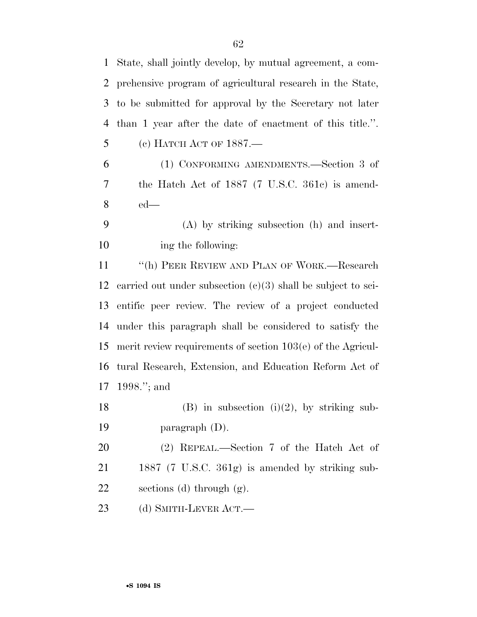| $\mathbf{1}$   | State, shall jointly develop, by mutual agreement, a com-      |
|----------------|----------------------------------------------------------------|
| 2              | prehensive program of agricultural research in the State,      |
| 3              | to be submitted for approval by the Secretary not later        |
| $\overline{4}$ | than 1 year after the date of enactment of this title.".       |
| 5              | (с) НАТСН АСТ ОF 1887.-                                        |
| 6              | (1) CONFORMING AMENDMENTS.—Section 3 of                        |
| 7              | the Hatch Act of 1887 (7 U.S.C. 361c) is amend-                |
| 8              | $ed$ —                                                         |
| 9              | $(A)$ by striking subsection $(h)$ and insert-                 |
| 10             | ing the following:                                             |
| 11             | "(h) PEER REVIEW AND PLAN OF WORK.—Research                    |
| 12             | carried out under subsection $(c)(3)$ shall be subject to sci- |
| 13             | entific peer review. The review of a project conducted         |
| 14             | under this paragraph shall be considered to satisfy the        |
| 15             | merit review requirements of section $103(e)$ of the Agricul-  |
| 16             | tural Research, Extension, and Education Reform Act of         |
| 17             | 1998."; and                                                    |
| 18             | $(B)$ in subsection $(i)(2)$ , by striking sub-                |
| 19             | paragraph $(D)$ .                                              |
| 20             | $(2)$ REPEAL.—Section 7 of the Hatch Act of                    |
| 21             | 1887 (7 U.S.C. 361g) is amended by striking sub-               |
| 22             | sections (d) through $(g)$ .                                   |
| 23             | (d) SMITH-LEVER ACT.—                                          |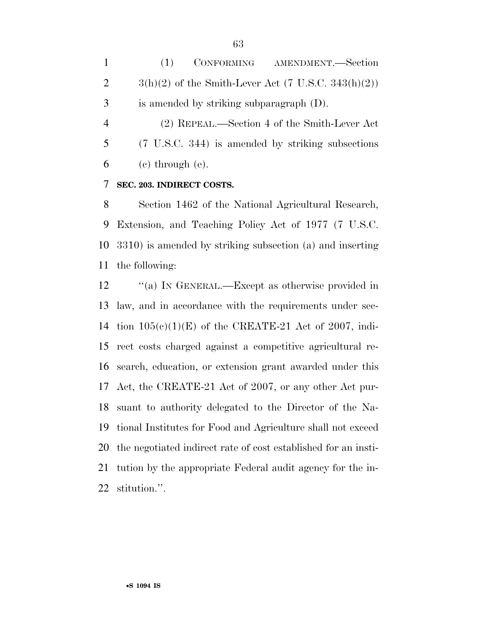(1) CONFORMING AMENDMENT.—Section 2  $3(h)(2)$  of the Smith-Lever Act (7 U.S.C. 343 $(h)(2)$ ) is amended by striking subparagraph (D).

 (2) REPEAL.—Section 4 of the Smith-Lever Act (7 U.S.C. 344) is amended by striking subsections  $6 \quad$  (c) through (e).

### **SEC. 203. INDIRECT COSTS.**

 Section 1462 of the National Agricultural Research, Extension, and Teaching Policy Act of 1977 (7 U.S.C. 3310) is amended by striking subsection (a) and inserting the following:

12 "(a) In GENERAL.—Except as otherwise provided in law, and in accordance with the requirements under sec-14 tion  $105(e)(1)(E)$  of the CREATE-21 Act of 2007, indi- rect costs charged against a competitive agricultural re- search, education, or extension grant awarded under this Act, the CREATE-21 Act of 2007, or any other Act pur- suant to authority delegated to the Director of the Na- tional Institutes for Food and Agriculture shall not exceed the negotiated indirect rate of cost established for an insti- tution by the appropriate Federal audit agency for the in-stitution.''.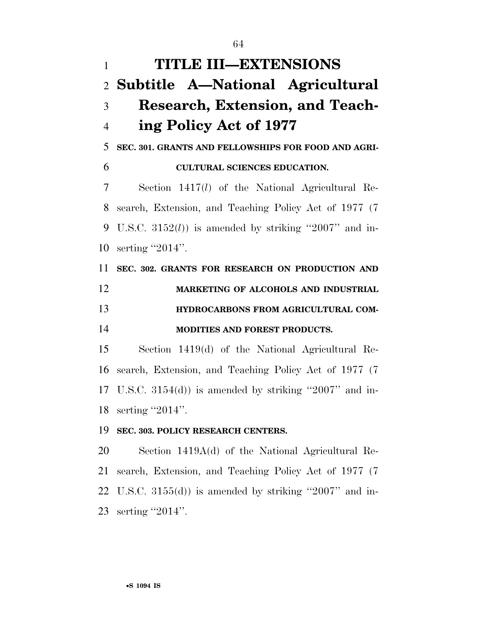**TITLE III—EXTENSIONS Subtitle A—National Agricultural Research, Extension, and Teach- ing Policy Act of 1977 SEC. 301. GRANTS AND FELLOWSHIPS FOR FOOD AND AGRI- CULTURAL SCIENCES EDUCATION.**  Section 1417(*l*) of the National Agricultural Re- search, Extension, and Teaching Policy Act of 1977 (7 U.S.C. 3152(*l*)) is amended by striking ''2007'' and in- serting ''2014''. **SEC. 302. GRANTS FOR RESEARCH ON PRODUCTION AND MARKETING OF ALCOHOLS AND INDUSTRIAL HYDROCARBONS FROM AGRICULTURAL COM- MODITIES AND FOREST PRODUCTS.**  Section 1419(d) of the National Agricultural Re- search, Extension, and Teaching Policy Act of 1977 (7 17 U.S.C.  $3154(d)$  is amended by striking "2007" and in-

serting ''2014''.

### **SEC. 303. POLICY RESEARCH CENTERS.**

 Section 1419A(d) of the National Agricultural Re- search, Extension, and Teaching Policy Act of 1977 (7 U.S.C. 3155(d)) is amended by striking ''2007'' and in-23 serting "2014".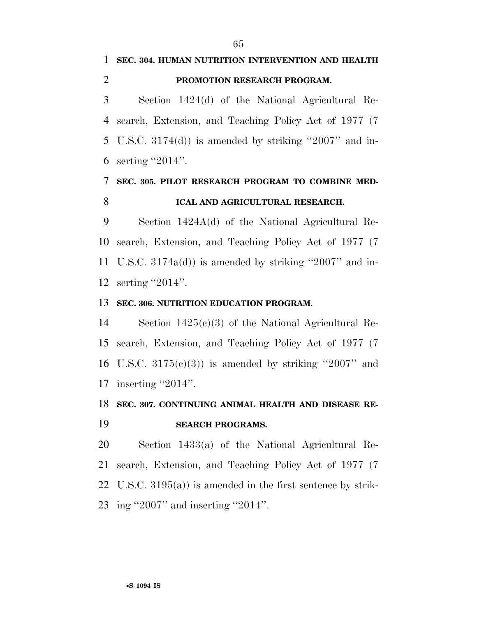# **SEC. 304. HUMAN NUTRITION INTERVENTION AND HEALTH PROMOTION RESEARCH PROGRAM.**

 Section 1424(d) of the National Agricultural Re- search, Extension, and Teaching Policy Act of 1977 (7 U.S.C. 3174(d)) is amended by striking ''2007'' and in-serting ''2014''.

## **SEC. 305. PILOT RESEARCH PROGRAM TO COMBINE MED-ICAL AND AGRICULTURAL RESEARCH.**

 Section 1424A(d) of the National Agricultural Re- search, Extension, and Teaching Policy Act of 1977 (7 U.S.C. 3174a(d)) is amended by striking ''2007'' and in-serting ''2014''.

### **SEC. 306. NUTRITION EDUCATION PROGRAM.**

 Section 1425(c)(3) of the National Agricultural Re- search, Extension, and Teaching Policy Act of 1977 (7 16 U.S.C.  $3175(e)(3)$  is amended by striking "2007" and 17 inserting "2014".

# **SEC. 307. CONTINUING ANIMAL HEALTH AND DISEASE RE-**

### **SEARCH PROGRAMS.**

 Section 1433(a) of the National Agricultural Re- search, Extension, and Teaching Policy Act of 1977 (7 U.S.C. 3195(a)) is amended in the first sentence by strik-ing ''2007'' and inserting ''2014''.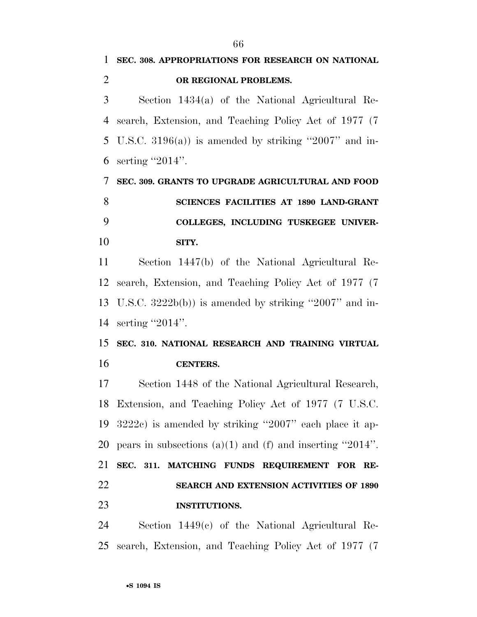**SEC. 308. APPROPRIATIONS FOR RESEARCH ON NATIONAL** 

**OR REGIONAL PROBLEMS.** 

| 3         | Section 1434(a) of the National Agricultural Re-             |
|-----------|--------------------------------------------------------------|
| 4         | search, Extension, and Teaching Policy Act of 1977 (7)       |
| 5         | U.S.C. 3196(a)) is amended by striking "2007" and in-        |
| 6         | serting " $2014$ ".                                          |
| 7         | SEC. 309. GRANTS TO UPGRADE AGRICULTURAL AND FOOD            |
| 8         | SCIENCES FACILITIES AT 1890 LAND-GRANT                       |
| 9         | COLLEGES, INCLUDING TUSKEGEE UNIVER-                         |
| 10        | SITY.                                                        |
| 11        | Section 1447(b) of the National Agricultural Re-             |
| 12        | search, Extension, and Teaching Policy Act of 1977 (7)       |
| 13        | U.S.C. $3222b(b)$ is amended by striking "2007" and in-      |
| 14        | serting " $2014$ ".                                          |
| 15        | SEC. 310. NATIONAL RESEARCH AND TRAINING VIRTUAL             |
| 16        | <b>CENTERS.</b>                                              |
| 17        | Section 1448 of the National Agricultural Research,          |
| 18        | Extension, and Teaching Policy Act of 1977 (7 U.S.C.         |
| 19        | $3222c$ ) is amended by striking "2007" each place it ap-    |
|           | 20 pears in subsections (a)(1) and (f) and inserting "2014". |
| 21        | SEC. 311. MATCHING FUNDS REQUIREMENT FOR RE-                 |
| <u>22</u> | <b>SEARCH AND EXTENSION ACTIVITIES OF 1890</b>               |
| 23        | <b>INSTITUTIONS.</b>                                         |
| 24        | Section $1449(c)$ of the National Agricultural Re-           |
| 25        | search, Extension, and Teaching Policy Act of 1977 (7)       |
|           | •S 1094 IS                                                   |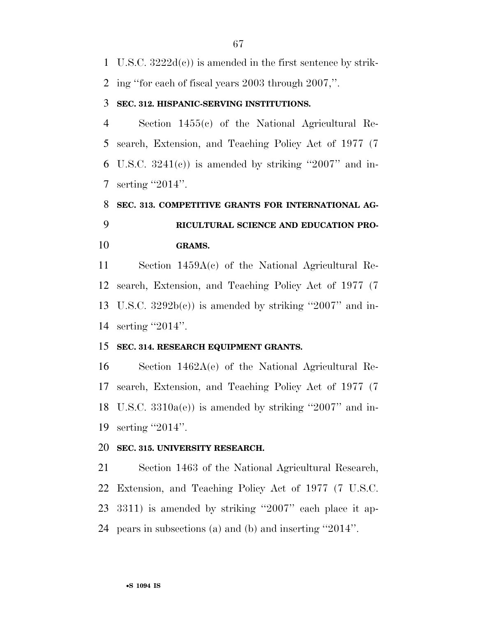U.S.C. 3222d(c)) is amended in the first sentence by strik-

ing ''for each of fiscal years 2003 through 2007,''.

### **SEC. 312. HISPANIC-SERVING INSTITUTIONS.**

 Section 1455(c) of the National Agricultural Re- search, Extension, and Teaching Policy Act of 1977 (7 6 U.S.C.  $3241(e)$  is amended by striking "2007" and in-serting ''2014''.

# **SEC. 313. COMPETITIVE GRANTS FOR INTERNATIONAL AG- RICULTURAL SCIENCE AND EDUCATION PRO-GRAMS.**

 Section 1459A(c) of the National Agricultural Re- search, Extension, and Teaching Policy Act of 1977 (7 13 U.S.C.  $3292b(c)$  is amended by striking "2007" and in-14 serting "2014".

### **SEC. 314. RESEARCH EQUIPMENT GRANTS.**

 Section 1462A(e) of the National Agricultural Re- search, Extension, and Teaching Policy Act of 1977 (7 U.S.C. 3310a(e)) is amended by striking ''2007'' and in-serting ''2014''.

### **SEC. 315. UNIVERSITY RESEARCH.**

 Section 1463 of the National Agricultural Research, Extension, and Teaching Policy Act of 1977 (7 U.S.C. 3311) is amended by striking ''2007'' each place it ap-pears in subsections (a) and (b) and inserting ''2014''.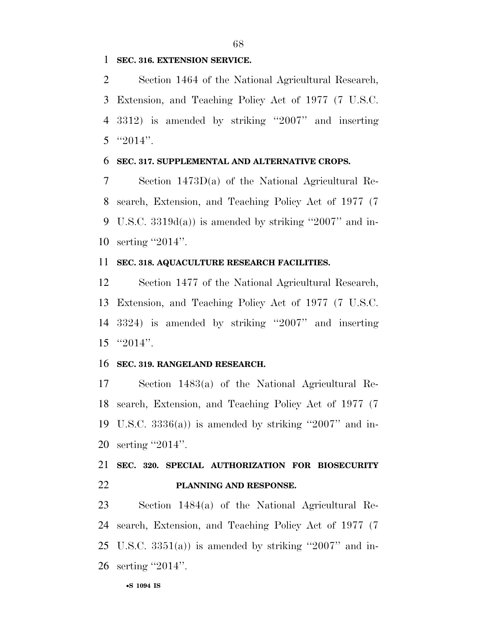### **SEC. 316. EXTENSION SERVICE.**

 Section 1464 of the National Agricultural Research, Extension, and Teaching Policy Act of 1977 (7 U.S.C. 3312) is amended by striking ''2007'' and inserting "2014".

#### **SEC. 317. SUPPLEMENTAL AND ALTERNATIVE CROPS.**

 Section 1473D(a) of the National Agricultural Re- search, Extension, and Teaching Policy Act of 1977 (7 U.S.C. 3319d(a)) is amended by striking ''2007'' and in-serting ''2014''.

### **SEC. 318. AQUACULTURE RESEARCH FACILITIES.**

 Section 1477 of the National Agricultural Research, Extension, and Teaching Policy Act of 1977 (7 U.S.C. 3324) is amended by striking ''2007'' and inserting ''2014''.

### **SEC. 319. RANGELAND RESEARCH.**

 Section 1483(a) of the National Agricultural Re- search, Extension, and Teaching Policy Act of 1977 (7 19 U.S.C.  $3336(a)$  is amended by striking "2007" and in-serting ''2014''.

## **SEC. 320. SPECIAL AUTHORIZATION FOR BIOSECURITY PLANNING AND RESPONSE.**

 Section 1484(a) of the National Agricultural Re- search, Extension, and Teaching Policy Act of 1977 (7 25 U.S.C.  $3351(a)$  is amended by striking "2007" and in-26 serting "2014".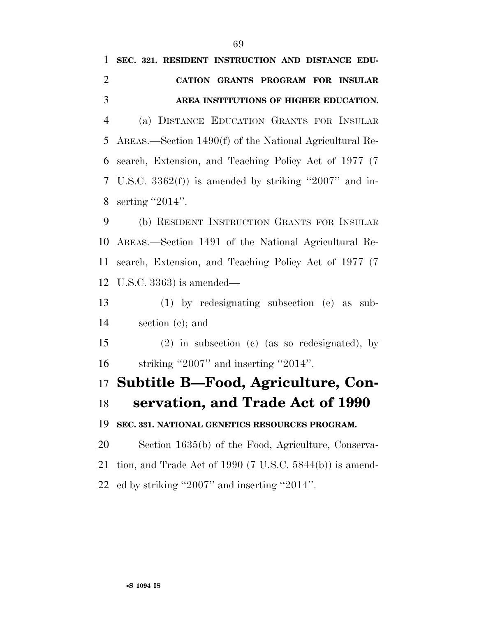| $\mathbf{1}$   | SEC. 321. RESIDENT INSTRUCTION AND DISTANCE EDU-            |
|----------------|-------------------------------------------------------------|
| $\overline{2}$ | CATION GRANTS PROGRAM FOR INSULAR                           |
| 3              | AREA INSTITUTIONS OF HIGHER EDUCATION.                      |
| $\overline{4}$ | (a) DISTANCE EDUCATION GRANTS FOR INSULAR                   |
| 5              | AREAS.—Section 1490(f) of the National Agricultural Re-     |
| 6              | search, Extension, and Teaching Policy Act of 1977 (7)      |
| 7              | U.S.C. $3362(f)$ ) is amended by striking "2007" and in-    |
| 8              | serting "2014".                                             |
| 9              | (b) RESIDENT INSTRUCTION GRANTS FOR INSULAR                 |
| 10             | AREAS.—Section 1491 of the National Agricultural Re-        |
| 11             | search, Extension, and Teaching Policy Act of 1977 (7)      |
| 12             | U.S.C. $3363$ ) is amended—                                 |
| 13             | $(1)$ by redesignating subsection (e) as sub-               |
| 14             | section $(c)$ ; and                                         |
| 15             | $(2)$ in subsection (c) (as so redesignated), by            |
| 16             | striking "2007" and inserting "2014".                       |
|                | 17 Subtitle B—Food, Agriculture, Con-                       |
|                | 18 servation, and Trade Act of 1990                         |
| 19             | SEC. 331. NATIONAL GENETICS RESOURCES PROGRAM.              |
| 20             | Section 1635(b) of the Food, Agriculture, Conserva-         |
| 21             | tion, and Trade Act of 1990 (7 U.S.C. $5844(b)$ ) is amend- |
| 22             | ed by striking "2007" and inserting "2014".                 |
|                |                                                             |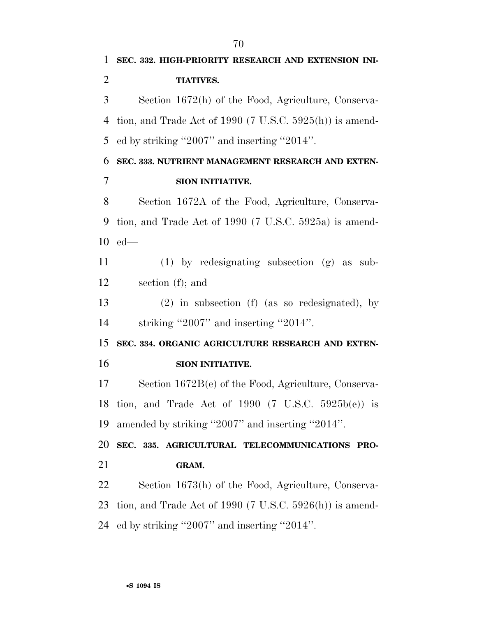**SEC. 332. HIGH-PRIORITY RESEARCH AND EXTENSION INI- TIATIVES.**  Section 1672(h) of the Food, Agriculture, Conserva- tion, and Trade Act of 1990 (7 U.S.C. 5925(h)) is amend- ed by striking ''2007'' and inserting ''2014''. **SEC. 333. NUTRIENT MANAGEMENT RESEARCH AND EXTEN- SION INITIATIVE.**  Section 1672A of the Food, Agriculture, Conserva- tion, and Trade Act of 1990 (7 U.S.C. 5925a) is amend- ed— (1) by redesignating subsection (g) as sub- section (f); and (2) in subsection (f) (as so redesignated), by 14 striking "2007" and inserting "2014". **SEC. 334. ORGANIC AGRICULTURE RESEARCH AND EXTEN- SION INITIATIVE.**  Section 1672B(e) of the Food, Agriculture, Conserva- tion, and Trade Act of 1990 (7 U.S.C. 5925b(e)) is amended by striking ''2007'' and inserting ''2014''. **SEC. 335. AGRICULTURAL TELECOMMUNICATIONS PRO- GRAM.**  Section 1673(h) of the Food, Agriculture, Conserva- tion, and Trade Act of 1990 (7 U.S.C. 5926(h)) is amend-ed by striking ''2007'' and inserting ''2014''.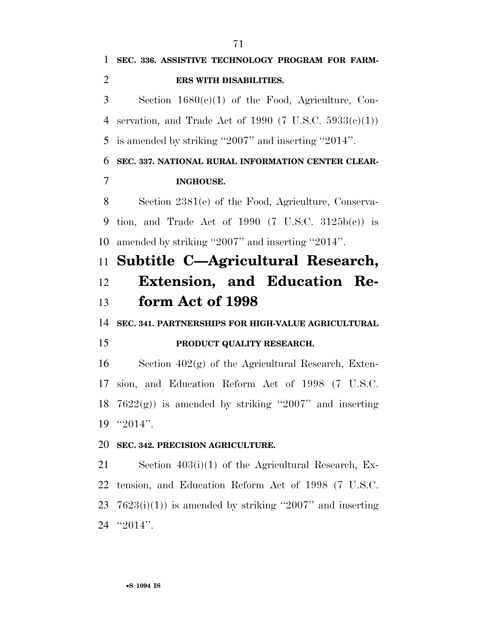| 1              | SEC. 336. ASSISTIVE TECHNOLOGY PROGRAM FOR FARM-              |
|----------------|---------------------------------------------------------------|
| $\overline{2}$ | ERS WITH DISABILITIES.                                        |
| 3              | Section $1680(c)(1)$ of the Food, Agriculture, Con-           |
| 4              | servation, and Trade Act of 1990 (7 U.S.C. $5933(e)(1)$ )     |
| 5              | is amended by striking "2007" and inserting "2014".           |
| 6              | SEC. 337. NATIONAL RURAL INFORMATION CENTER CLEAR-            |
| 7              | <b>INGHOUSE.</b>                                              |
| 8              | Section 2381(e) of the Food, Agriculture, Conserva-           |
| 9              | tion, and Trade Act of 1990 $(7 \text{ U.S.C. } 3125b(e))$ is |
| 10             | amended by striking "2007" and inserting "2014".              |
| 11             | Subtitle C-Agricultural Research,                             |
| 12             | Extension, and Education Re-                                  |
| 13             | form Act of 1998                                              |
| 14             | SEC. 341. PARTNERSHIPS FOR HIGH-VALUE AGRICULTURAL            |
| 15             | PRODUCT QUALITY RESEARCH.                                     |
| 16             | Section $402(g)$ of the Agricultural Research, Exten-         |
| 17             | sion, and Education Reform Act of 1998 (7 U.S.C.              |
| 18             | $7622(g)$ is amended by striking "2007" and inserting         |
| 19             | " $2014$ ".                                                   |
| 20             | SEC. 342. PRECISION AGRICULTURE.                              |
| 21             | Section $403(i)(1)$ of the Agricultural Research, Ex-         |
| 22             | tension, and Education Reform Act of 1998 (7 U.S.C.           |
| 23             | $7623(i)(1)$ is amended by striking "2007" and inserting      |

''2014''.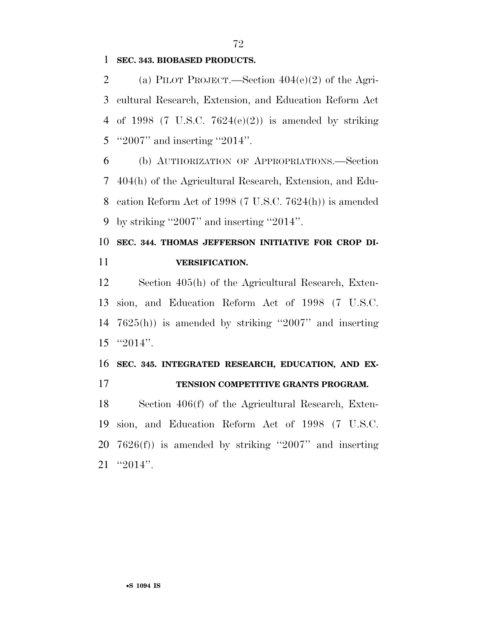**SEC. 343. BIOBASED PRODUCTS.** 

 (a) PILOT PROJECT.—Section 404(e)(2) of the Agri- cultural Research, Extension, and Education Reform Act 4 of 1998 (7 U.S.C.  $7624(e)(2)$ ) is amended by striking 5 "2007" and inserting "2014".

 (b) AUTHORIZATION OF APPROPRIATIONS.—Section 404(h) of the Agricultural Research, Extension, and Edu- cation Reform Act of 1998 (7 U.S.C. 7624(h)) is amended by striking ''2007'' and inserting ''2014''.

# **SEC. 344. THOMAS JEFFERSON INITIATIVE FOR CROP DI-VERSIFICATION.**

 Section 405(h) of the Agricultural Research, Exten- sion, and Education Reform Act of 1998 (7 U.S.C. 7625(h)) is amended by striking ''2007'' and inserting ''2014''.

## **SEC. 345. INTEGRATED RESEARCH, EDUCATION, AND EX-TENSION COMPETITIVE GRANTS PROGRAM.**

 Section 406(f) of the Agricultural Research, Exten- sion, and Education Reform Act of 1998 (7 U.S.C. 7626(f)) is amended by striking ''2007'' and inserting ''2014''.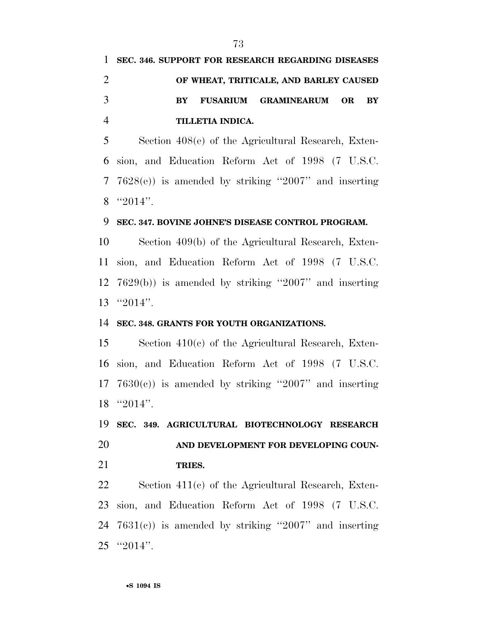|               | 1 SEC. 346. SUPPORT FOR RESEARCH REGARDING DISEASES |
|---------------|-----------------------------------------------------|
|               | OF WHEAT, TRITICALE, AND BARLEY CAUSED              |
| $\mathcal{R}$ | BY FUSARIUM GRAMINEARUM OR BY                       |
|               | TILLETIA INDICA.                                    |

 Section 408(e) of the Agricultural Research, Exten- sion, and Education Reform Act of 1998 (7 U.S.C. 7628(e)) is amended by striking ''2007'' and inserting ''2014''.

### **SEC. 347. BOVINE JOHNE'S DISEASE CONTROL PROGRAM.**

 Section 409(b) of the Agricultural Research, Exten- sion, and Education Reform Act of 1998 (7 U.S.C. 7629(b)) is amended by striking ''2007'' and inserting ''2014''.

#### **SEC. 348. GRANTS FOR YOUTH ORGANIZATIONS.**

 Section 410(c) of the Agricultural Research, Exten- sion, and Education Reform Act of 1998 (7 U.S.C.  $7630(c)$  is amended by striking "2007" and inserting "2014".

 **SEC. 349. AGRICULTURAL BIOTECHNOLOGY RESEARCH AND DEVELOPMENT FOR DEVELOPING COUN-**

**TRIES.** 

 Section 411(c) of the Agricultural Research, Exten- sion, and Education Reform Act of 1998 (7 U.S.C. 7631(c)) is amended by striking ''2007'' and inserting ''2014''.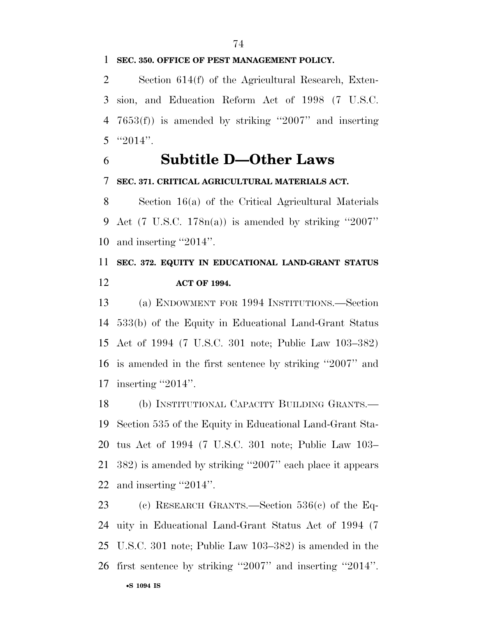#### **SEC. 350. OFFICE OF PEST MANAGEMENT POLICY.**

 Section 614(f) of the Agricultural Research, Exten- sion, and Education Reform Act of 1998 (7 U.S.C. 7653(f)) is amended by striking ''2007'' and inserting "2014".

## **Subtitle D—Other Laws**

### **SEC. 371. CRITICAL AGRICULTURAL MATERIALS ACT.**

 Section 16(a) of the Critical Agricultural Materials 9 Act  $(7 \text{ U.S.C. } 178n(a))$  is amended by striking "2007" and inserting ''2014''.

# **SEC. 372. EQUITY IN EDUCATIONAL LAND-GRANT STATUS ACT OF 1994.**

 (a) ENDOWMENT FOR 1994 INSTITUTIONS.—Section 533(b) of the Equity in Educational Land-Grant Status Act of 1994 (7 U.S.C. 301 note; Public Law 103–382) is amended in the first sentence by striking ''2007'' and 17 inserting "2014".

 (b) INSTITUTIONAL CAPACITY BUILDING GRANTS.— Section 535 of the Equity in Educational Land-Grant Sta- tus Act of 1994 (7 U.S.C. 301 note; Public Law 103– 382) is amended by striking ''2007'' each place it appears and inserting ''2014''.

 (c) RESEARCH GRANTS.—Section 536(c) of the Eq- uity in Educational Land-Grant Status Act of 1994 (7 U.S.C. 301 note; Public Law 103–382) is amended in the first sentence by striking ''2007'' and inserting ''2014''.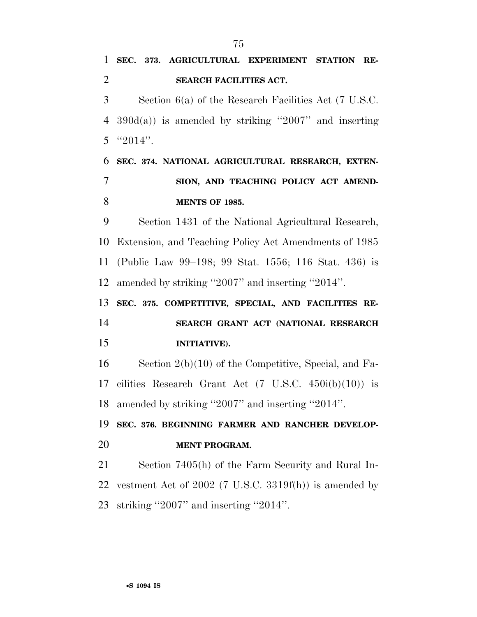**SEC. 373. AGRICULTURAL EXPERIMENT STATION RE- SEARCH FACILITIES ACT.**  Section 6(a) of the Research Facilities Act (7 U.S.C. 4 390 $d(a)$  is amended by striking "2007" and inserting 5  $"2014"$ . **SEC. 374. NATIONAL AGRICULTURAL RESEARCH, EXTEN- SION, AND TEACHING POLICY ACT AMEND- MENTS OF 1985.**  Section 1431 of the National Agricultural Research, Extension, and Teaching Policy Act Amendments of 1985 (Public Law 99–198; 99 Stat. 1556; 116 Stat. 436) is amended by striking ''2007'' and inserting ''2014''. **SEC. 375. COMPETITIVE, SPECIAL, AND FACILITIES RE- SEARCH GRANT ACT (NATIONAL RESEARCH INITIATIVE).**  Section 2(b)(10) of the Competitive, Special, and Fa-17 cilities Research Grant Act  $(7 \text{ U.S.C. } 450i(b)(10))$  is amended by striking ''2007'' and inserting ''2014''. **SEC. 376. BEGINNING FARMER AND RANCHER DEVELOP- MENT PROGRAM.**  Section 7405(h) of the Farm Security and Rural In- vestment Act of 2002 (7 U.S.C. 3319f(h)) is amended by striking ''2007'' and inserting ''2014''.